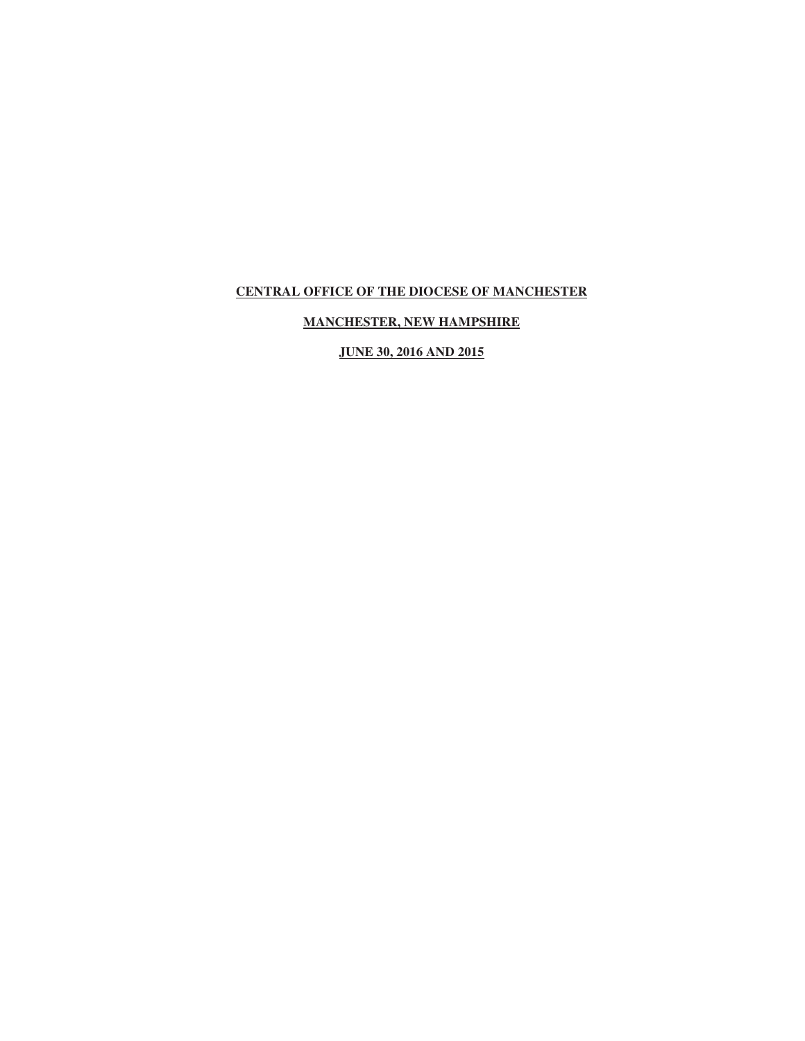**MANCHESTER, NEW HAMPSHIRE** 

**JUNE 30, 2016 AND 2015**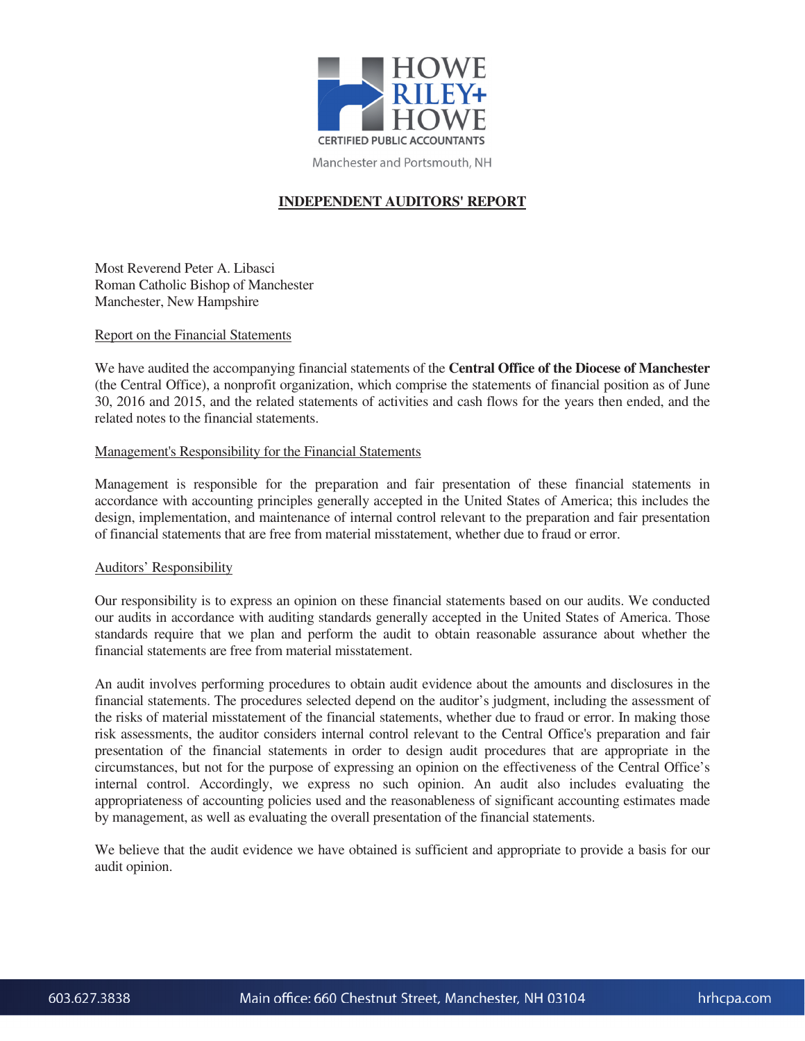

Manchester and Portsmouth, NH

# **INDEPENDENT AUDITORS' REPORT**

Most Reverend Peter A. Libasci Roman Catholic Bishop of Manchester Manchester, New Hampshire

#### Report on the Financial Statements

We have audited the accompanying financial statements of the **Central Office of the Diocese of Manchester** (the Central Office), a nonprofit organization, which comprise the statements of financial position as of June 30, 2016 and 2015, and the related statements of activities and cash flows for the years then ended, and the related notes to the financial statements.

# Management's Responsibility for the Financial Statements

Management is responsible for the preparation and fair presentation of these financial statements in accordance with accounting principles generally accepted in the United States of America; this includes the design, implementation, and maintenance of internal control relevant to the preparation and fair presentation of financial statements that are free from material misstatement, whether due to fraud or error.

#### Auditors' Responsibility

Our responsibility is to express an opinion on these financial statements based on our audits. We conducted our audits in accordance with auditing standards generally accepted in the United States of America. Those standards require that we plan and perform the audit to obtain reasonable assurance about whether the financial statements are free from material misstatement.

An audit involves performing procedures to obtain audit evidence about the amounts and disclosures in the financial statements. The procedures selected depend on the auditor's judgment, including the assessment of the risks of material misstatement of the financial statements, whether due to fraud or error. In making those risk assessments, the auditor considers internal control relevant to the Central Office's preparation and fair presentation of the financial statements in order to design audit procedures that are appropriate in the circumstances, but not for the purpose of expressing an opinion on the effectiveness of the Central Office's internal control. Accordingly, we express no such opinion. An audit also includes evaluating the appropriateness of accounting policies used and the reasonableness of significant accounting estimates made by management, as well as evaluating the overall presentation of the financial statements.

We believe that the audit evidence we have obtained is sufficient and appropriate to provide a basis for our audit opinion.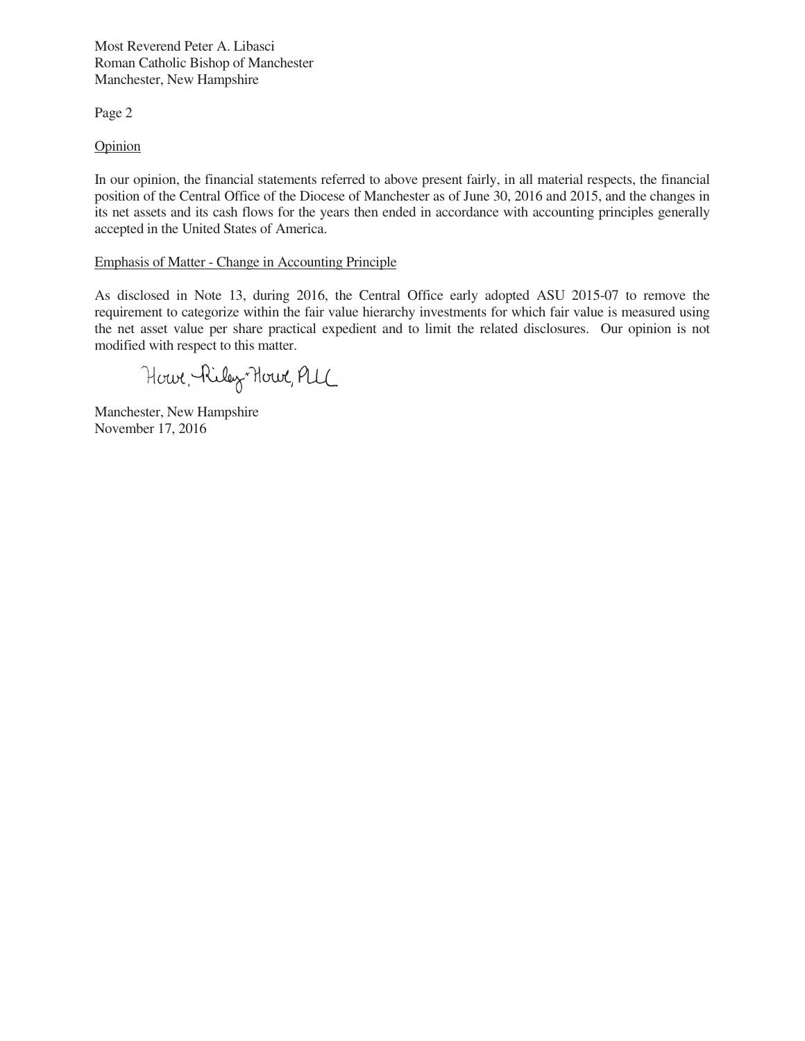Most Reverend Peter A. Libasci Roman Catholic Bishop of Manchester Manchester, New Hampshire

Page 2

**Opinion** 

In our opinion, the financial statements referred to above present fairly, in all material respects, the financial position of the Central Office of the Diocese of Manchester as of June 30, 2016 and 2015, and the changes in its net assets and its cash flows for the years then ended in accordance with accounting principles generally accepted in the United States of America.

# Emphasis of Matter - Change in Accounting Principle

As disclosed in Note 13, during 2016, the Central Office early adopted ASU 2015-07 to remove the requirement to categorize within the fair value hierarchy investments for which fair value is measured using the net asset value per share practical expedient and to limit the related disclosures. Our opinion is not modified with respect to this matter.

Howe, Riley Howe, PLL

Manchester, New Hampshire November 17, 2016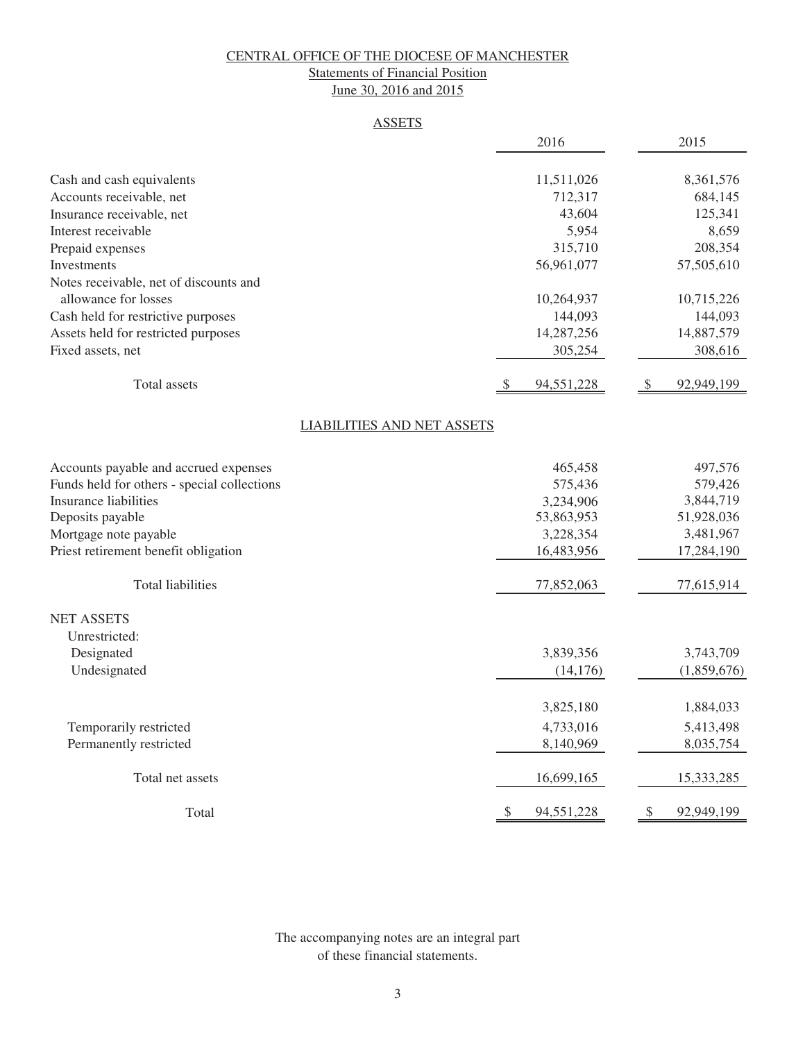# **Statements of Financial Position** June 30, 2016 and 2015

# ASSETS

|                                                                | 2016              | 2015                                    |
|----------------------------------------------------------------|-------------------|-----------------------------------------|
| Cash and cash equivalents                                      | 11,511,026        | 8,361,576                               |
| Accounts receivable, net                                       | 712,317           | 684,145                                 |
| Insurance receivable, net                                      | 43,604            | 125,341                                 |
| Interest receivable                                            | 5,954             | 8,659                                   |
| Prepaid expenses                                               | 315,710           | 208,354                                 |
| Investments                                                    | 56,961,077        | 57,505,610                              |
| Notes receivable, net of discounts and<br>allowance for losses | 10,264,937        | 10,715,226                              |
| Cash held for restrictive purposes                             | 144,093           | 144,093                                 |
| Assets held for restricted purposes                            | 14,287,256        | 14,887,579                              |
| Fixed assets, net                                              | 305,254           | 308,616                                 |
| Total assets                                                   | 94,551,228<br>-\$ | $\boldsymbol{\mathsf{S}}$<br>92,949,199 |
| <b>LIABILITIES AND NET ASSETS</b>                              |                   |                                         |
| Accounts payable and accrued expenses                          | 465,458           | 497,576                                 |
| Funds held for others - special collections                    | 575,436           | 579,426                                 |
| <b>Insurance liabilities</b>                                   | 3,234,906         | 3,844,719                               |
| Deposits payable                                               | 53,863,953        | 51,928,036                              |
| Mortgage note payable                                          | 3,228,354         | 3,481,967                               |
| Priest retirement benefit obligation                           | 16,483,956        | 17,284,190                              |
| <b>Total liabilities</b>                                       | 77,852,063        | 77,615,914                              |
| <b>NET ASSETS</b>                                              |                   |                                         |
| Unrestricted:                                                  |                   |                                         |
| Designated                                                     | 3,839,356         | 3,743,709                               |
| Undesignated                                                   | (14, 176)         | (1,859,676)                             |
|                                                                | 3,825,180         | 1,884,033                               |
| Temporarily restricted                                         | 4,733,016         | 5,413,498                               |
| Permanently restricted                                         | 8,140,969         | 8,035,754                               |
| Total net assets                                               | 16,699,165        | 15,333,285                              |
| Total                                                          | 94,551,228<br>\$  | $\$\$<br>92,949,199                     |

The accompanying notes are an integral part of these financial statements.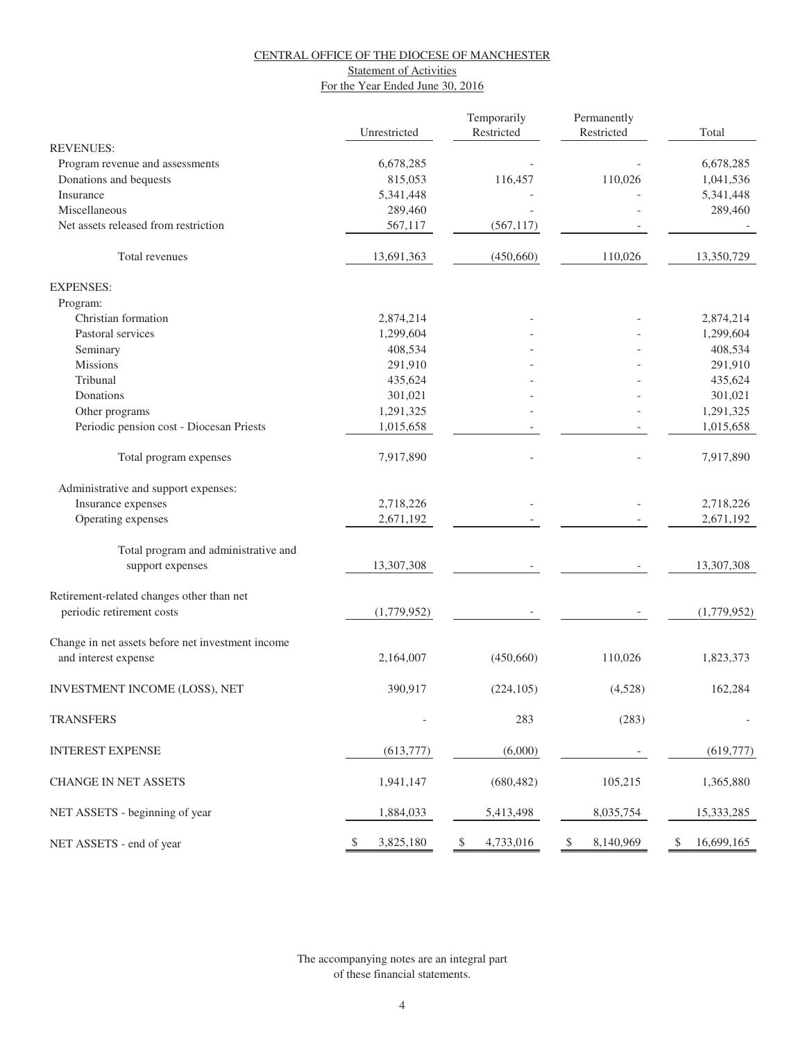# Statement of Activities

#### For the Year Ended June 30, 2016

|                                                   |                 | Temporarily     | Permanently     |                  |
|---------------------------------------------------|-----------------|-----------------|-----------------|------------------|
|                                                   | Unrestricted    | Restricted      | Restricted      | Total            |
| <b>REVENUES:</b>                                  |                 |                 |                 |                  |
| Program revenue and assessments                   | 6,678,285       |                 |                 | 6,678,285        |
| Donations and bequests                            | 815,053         | 116,457         | 110,026         | 1,041,536        |
| Insurance                                         | 5,341,448       |                 |                 | 5,341,448        |
| Miscellaneous                                     | 289,460         |                 |                 | 289,460          |
| Net assets released from restriction              | 567,117         | (567, 117)      |                 |                  |
| Total revenues                                    | 13,691,363      | (450, 660)      | 110,026         | 13,350,729       |
| <b>EXPENSES:</b>                                  |                 |                 |                 |                  |
| Program:                                          |                 |                 |                 |                  |
| Christian formation                               | 2,874,214       |                 |                 | 2,874,214        |
| Pastoral services                                 | 1,299,604       |                 |                 | 1,299,604        |
| Seminary                                          | 408,534         |                 |                 | 408,534          |
| <b>Missions</b>                                   | 291,910         |                 |                 | 291,910          |
| Tribunal                                          | 435,624         |                 |                 | 435,624          |
| Donations                                         | 301,021         |                 |                 | 301,021          |
| Other programs                                    | 1,291,325       |                 |                 | 1,291,325        |
| Periodic pension cost - Diocesan Priests          | 1,015,658       |                 |                 | 1,015,658        |
| Total program expenses                            | 7,917,890       |                 |                 | 7,917,890        |
| Administrative and support expenses:              |                 |                 |                 |                  |
| Insurance expenses                                | 2,718,226       |                 |                 | 2,718,226        |
| Operating expenses                                | 2,671,192       |                 |                 | 2,671,192        |
| Total program and administrative and              |                 |                 |                 |                  |
| support expenses                                  | 13,307,308      |                 |                 | 13,307,308       |
| Retirement-related changes other than net         |                 |                 |                 |                  |
| periodic retirement costs                         | (1,779,952)     |                 |                 | (1,779,952)      |
| Change in net assets before net investment income |                 |                 |                 |                  |
| and interest expense                              | 2,164,007       | (450,660)       | 110,026         | 1,823,373        |
| INVESTMENT INCOME (LOSS), NET                     | 390,917         | (224, 105)      | (4,528)         | 162,284          |
| <b>TRANSFERS</b>                                  |                 | 283             | (283)           |                  |
| <b>INTEREST EXPENSE</b>                           | (613, 777)      | (6,000)         |                 | (619, 777)       |
| <b>CHANGE IN NET ASSETS</b>                       | 1,941,147       | (680, 482)      | 105,215         | 1,365,880        |
| NET ASSETS - beginning of year                    | 1,884,033       | 5,413,498       | 8,035,754       | 15,333,285       |
| NET ASSETS - end of year                          | 3,825,180<br>\$ | 4,733,016<br>\$ | \$<br>8,140,969 | \$<br>16,699,165 |

of these financial statements. The accompanying notes are an integral part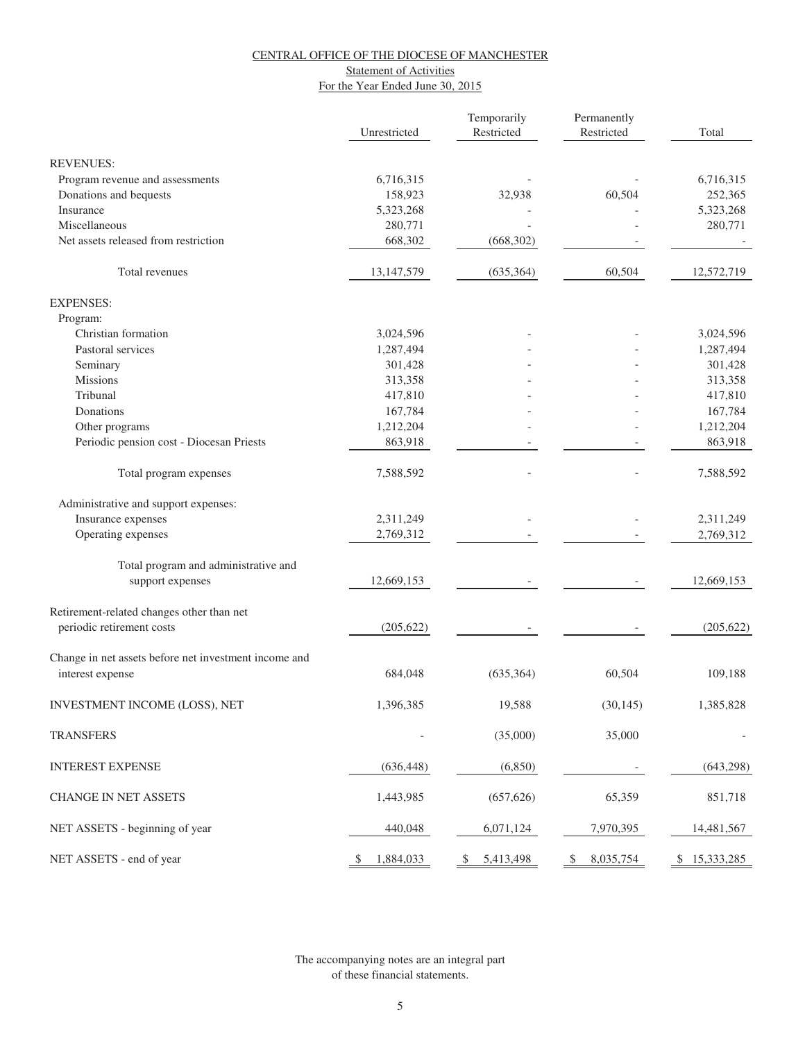#### **Statement of Activities** For the Year Ended June 30, 2015

|                                                       |                 | Temporarily     | Permanently     |                             |
|-------------------------------------------------------|-----------------|-----------------|-----------------|-----------------------------|
|                                                       | Unrestricted    | Restricted      | Restricted      | Total                       |
| <b>REVENUES:</b>                                      |                 |                 |                 |                             |
| Program revenue and assessments                       | 6,716,315       |                 |                 | 6,716,315                   |
| Donations and bequests                                | 158,923         | 32,938          | 60,504          | 252,365                     |
| Insurance                                             | 5,323,268       |                 |                 | 5,323,268                   |
| Miscellaneous                                         | 280,771         |                 |                 | 280,771                     |
| Net assets released from restriction                  | 668,302         | (668, 302)      |                 |                             |
| Total revenues                                        | 13, 147, 579    | (635, 364)      | 60,504          | 12,572,719                  |
| <b>EXPENSES:</b>                                      |                 |                 |                 |                             |
| Program:                                              |                 |                 |                 |                             |
| Christian formation                                   | 3,024,596       |                 |                 | 3,024,596                   |
| Pastoral services                                     | 1,287,494       |                 |                 | 1,287,494                   |
| Seminary                                              | 301,428         |                 |                 | 301,428                     |
| <b>Missions</b>                                       | 313,358         |                 |                 | 313,358                     |
| Tribunal                                              | 417,810         |                 |                 | 417,810                     |
| Donations                                             | 167,784         |                 |                 | 167,784                     |
| Other programs                                        | 1,212,204       |                 |                 | 1,212,204                   |
| Periodic pension cost - Diocesan Priests              | 863,918         |                 |                 | 863,918                     |
| Total program expenses                                | 7,588,592       |                 |                 | 7,588,592                   |
| Administrative and support expenses:                  |                 |                 |                 |                             |
| Insurance expenses                                    | 2,311,249       |                 |                 | 2,311,249                   |
| Operating expenses                                    | 2,769,312       |                 |                 | 2,769,312                   |
| Total program and administrative and                  |                 |                 |                 |                             |
| support expenses                                      | 12,669,153      |                 |                 | 12,669,153                  |
| Retirement-related changes other than net             |                 |                 |                 |                             |
| periodic retirement costs                             | (205, 622)      |                 |                 | (205, 622)                  |
| Change in net assets before net investment income and |                 |                 |                 |                             |
| interest expense                                      | 684,048         | (635, 364)      | 60,504          | 109,188                     |
| INVESTMENT INCOME (LOSS), NET                         | 1,396,385       | 19,588          | (30, 145)       | 1,385,828                   |
| <b>TRANSFERS</b>                                      |                 | (35,000)        | 35,000          |                             |
| <b>INTEREST EXPENSE</b>                               | (636, 448)      | (6, 850)        |                 | (643, 298)                  |
| CHANGE IN NET ASSETS                                  | 1,443,985       | (657, 626)      | 65,359          | 851,718                     |
| NET ASSETS - beginning of year                        | 440,048         | 6,071,124       | 7,970,395       | 14,481,567                  |
| NET ASSETS - end of year                              | 1,884,033<br>\$ | 5,413,498<br>\$ | 8,035,754<br>-S | 15,333,285<br>$\mathcal{S}$ |

of these financial statements. The accompanying notes are an integral part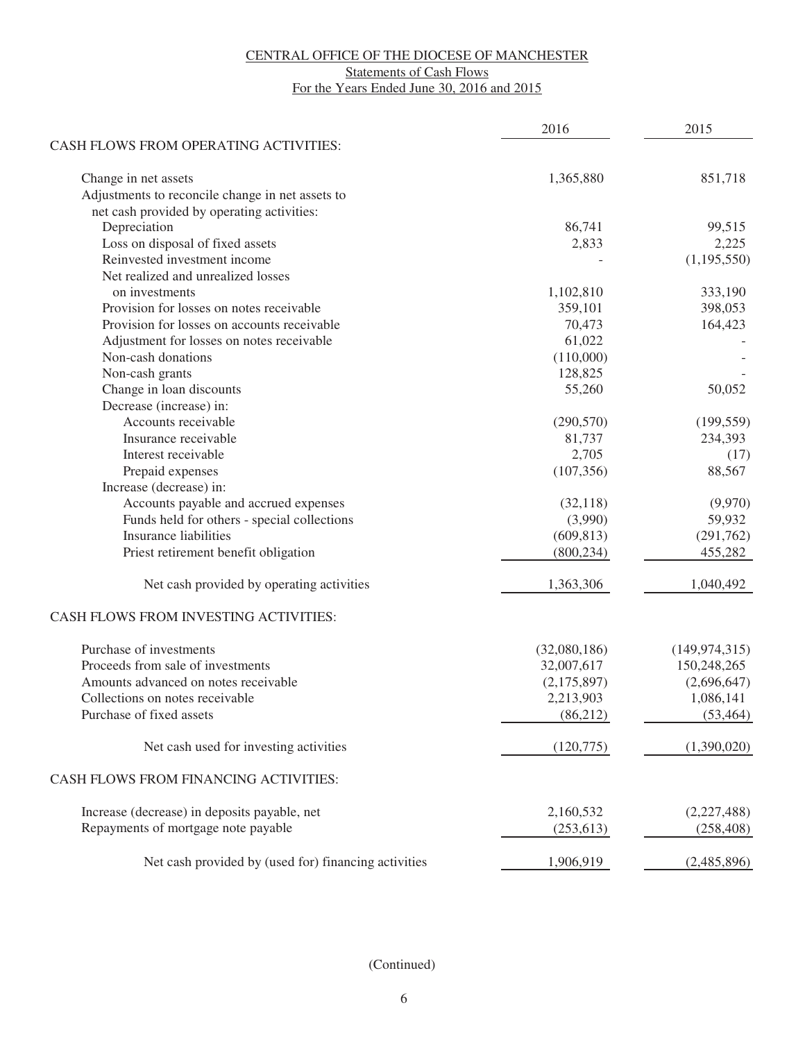#### **Statements of Cash Flows** For the Years Ended June 30, 2016 and 2015

|                                                      | 2016         | 2015            |
|------------------------------------------------------|--------------|-----------------|
| CASH FLOWS FROM OPERATING ACTIVITIES:                |              |                 |
| Change in net assets                                 | 1,365,880    | 851,718         |
| Adjustments to reconcile change in net assets to     |              |                 |
| net cash provided by operating activities:           |              |                 |
| Depreciation                                         | 86,741       | 99,515          |
| Loss on disposal of fixed assets                     | 2,833        | 2,225           |
| Reinvested investment income                         |              | (1,195,550)     |
| Net realized and unrealized losses                   |              |                 |
| on investments                                       | 1,102,810    | 333,190         |
| Provision for losses on notes receivable             | 359,101      | 398,053         |
| Provision for losses on accounts receivable          | 70,473       | 164,423         |
| Adjustment for losses on notes receivable            | 61,022       |                 |
| Non-cash donations                                   | (110,000)    |                 |
| Non-cash grants                                      | 128,825      |                 |
| Change in loan discounts                             | 55,260       | 50,052          |
| Decrease (increase) in:                              |              |                 |
| Accounts receivable                                  | (290, 570)   | (199, 559)      |
| Insurance receivable                                 | 81,737       | 234,393         |
| Interest receivable                                  | 2,705        | (17)            |
| Prepaid expenses                                     | (107, 356)   | 88,567          |
| Increase (decrease) in:                              |              |                 |
| Accounts payable and accrued expenses                | (32, 118)    | (9,970)         |
| Funds held for others - special collections          | (3,990)      | 59,932          |
| Insurance liabilities                                | (609, 813)   | (291,762)       |
| Priest retirement benefit obligation                 | (800, 234)   | 455,282         |
|                                                      |              |                 |
| Net cash provided by operating activities            | 1,363,306    | 1,040,492       |
| CASH FLOWS FROM INVESTING ACTIVITIES:                |              |                 |
| Purchase of investments                              | (32,080,186) | (149, 974, 315) |
| Proceeds from sale of investments                    | 32,007,617   | 150,248,265     |
| Amounts advanced on notes receivable                 | (2,175,897)  | (2,696,647)     |
| Collections on notes receivable                      | 2,213,903    | 1,086,141       |
| Purchase of fixed assets                             | (86, 212)    | (53, 464)       |
| Net cash used for investing activities               | (120,775)    | (1,390,020)     |
| CASH FLOWS FROM FINANCING ACTIVITIES:                |              |                 |
| Increase (decrease) in deposits payable, net         | 2,160,532    | (2,227,488)     |
| Repayments of mortgage note payable                  | (253, 613)   | (258, 408)      |
| Net cash provided by (used for) financing activities | 1,906,919    | (2,485,896)     |

(Continued)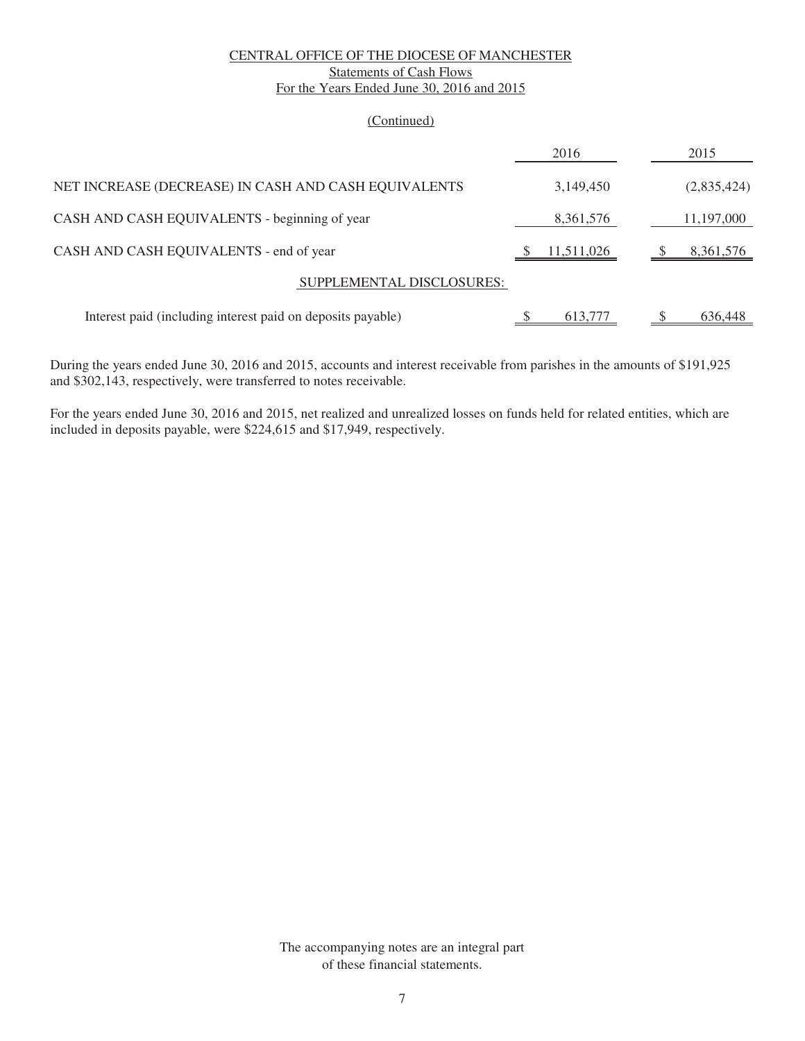#### CENTRAL OFFICE OF THE DIOCESE OF MANCHESTER Statements of Cash Flows For the Years Ended June 30, 2016 and 2015

# (Continued)

|                                                             | 2016       | 2015        |
|-------------------------------------------------------------|------------|-------------|
| NET INCREASE (DECREASE) IN CASH AND CASH EQUIVALENTS        | 3,149,450  | (2,835,424) |
| CASH AND CASH EQUIVALENTS - beginning of year               | 8,361,576  | 11,197,000  |
| CASH AND CASH EQUIVALENTS - end of year                     | 11,511,026 | 8,361,576   |
| SUPPLEMENTAL DISCLOSURES:                                   |            |             |
| Interest paid (including interest paid on deposits payable) | 613.777    | 636.448     |

During the years ended June 30, 2016 and 2015, accounts and interest receivable from parishes in the amounts of \$191,925 and \$302,143, respectively, were transferred to notes receivable.

For the years ended June 30, 2016 and 2015, net realized and unrealized losses on funds held for related entities, which are included in deposits payable, were \$224,615 and \$17,949, respectively.

> The accompanying notes are an integral part of these financial statements.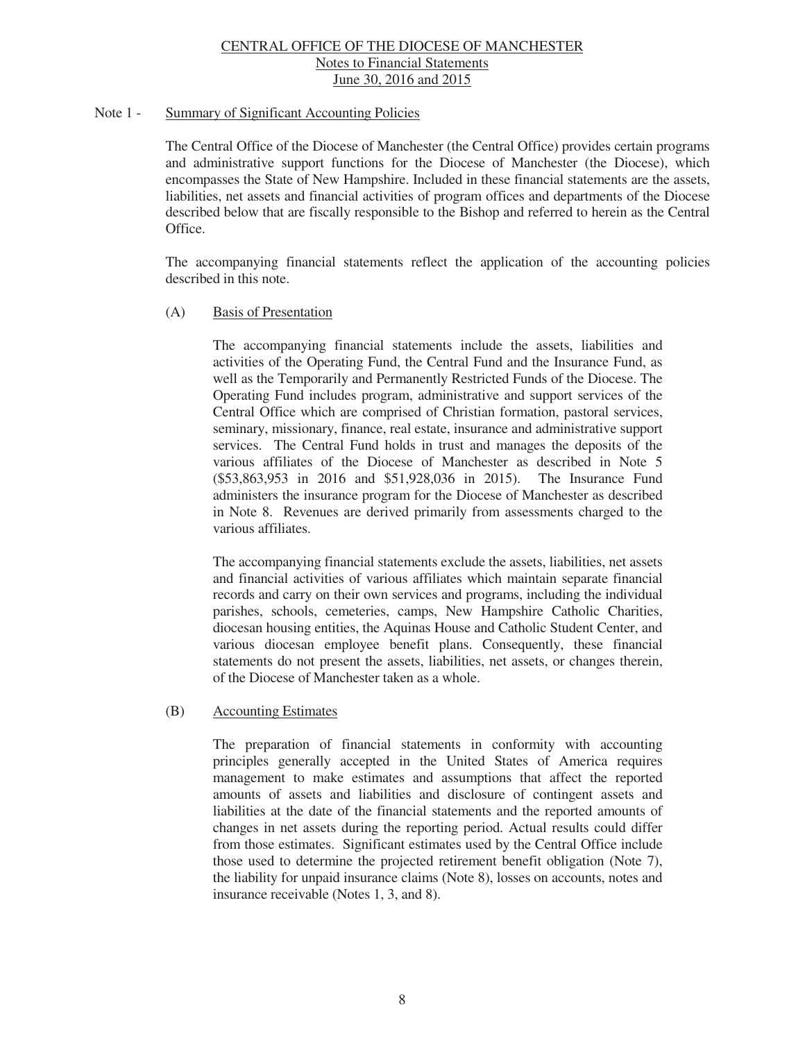## Note 1 - Summary of Significant Accounting Policies

 The Central Office of the Diocese of Manchester (the Central Office) provides certain programs and administrative support functions for the Diocese of Manchester (the Diocese), which encompasses the State of New Hampshire. Included in these financial statements are the assets, liabilities, net assets and financial activities of program offices and departments of the Diocese described below that are fiscally responsible to the Bishop and referred to herein as the Central Office.

 The accompanying financial statements reflect the application of the accounting policies described in this note.

#### (A) Basis of Presentation

 The accompanying financial statements include the assets, liabilities and activities of the Operating Fund, the Central Fund and the Insurance Fund, as well as the Temporarily and Permanently Restricted Funds of the Diocese. The Operating Fund includes program, administrative and support services of the Central Office which are comprised of Christian formation, pastoral services, seminary, missionary, finance, real estate, insurance and administrative support services. The Central Fund holds in trust and manages the deposits of the various affiliates of the Diocese of Manchester as described in Note 5 (\$53,863,953 in 2016 and \$51,928,036 in 2015). The Insurance Fund administers the insurance program for the Diocese of Manchester as described in Note 8. Revenues are derived primarily from assessments charged to the various affiliates.

 The accompanying financial statements exclude the assets, liabilities, net assets and financial activities of various affiliates which maintain separate financial records and carry on their own services and programs, including the individual parishes, schools, cemeteries, camps, New Hampshire Catholic Charities, diocesan housing entities, the Aquinas House and Catholic Student Center, and various diocesan employee benefit plans. Consequently, these financial statements do not present the assets, liabilities, net assets, or changes therein, of the Diocese of Manchester taken as a whole.

#### (B) Accounting Estimates

 The preparation of financial statements in conformity with accounting principles generally accepted in the United States of America requires management to make estimates and assumptions that affect the reported amounts of assets and liabilities and disclosure of contingent assets and liabilities at the date of the financial statements and the reported amounts of changes in net assets during the reporting period. Actual results could differ from those estimates. Significant estimates used by the Central Office include those used to determine the projected retirement benefit obligation (Note 7), the liability for unpaid insurance claims (Note 8), losses on accounts, notes and insurance receivable (Notes 1, 3, and 8).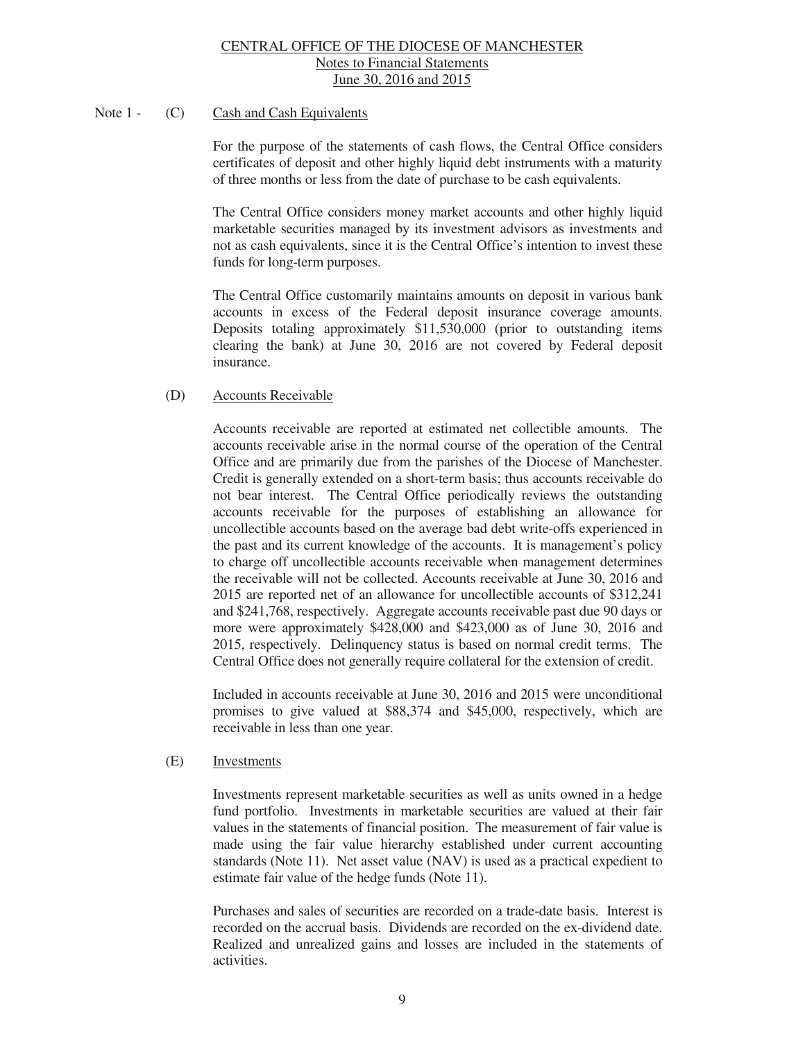# Note 1 - (C) Cash and Cash Equivalents

For the purpose of the statements of cash flows, the Central Office considers certificates of deposit and other highly liquid debt instruments with a maturity of three months or less from the date of purchase to be cash equivalents.

The Central Office considers money market accounts and other highly liquid marketable securities managed by its investment advisors as investments and not as cash equivalents, since it is the Central Office's intention to invest these funds for long-term purposes.

The Central Office customarily maintains amounts on deposit in various bank accounts in excess of the Federal deposit insurance coverage amounts. Deposits totaling approximately \$11,530,000 (prior to outstanding items clearing the bank) at June 30, 2016 are not covered by Federal deposit insurance.

# (D) Accounts Receivable

Accounts receivable are reported at estimated net collectible amounts. The accounts receivable arise in the normal course of the operation of the Central Office and are primarily due from the parishes of the Diocese of Manchester. Credit is generally extended on a short-term basis; thus accounts receivable do not bear interest. The Central Office periodically reviews the outstanding accounts receivable for the purposes of establishing an allowance for uncollectible accounts based on the average bad debt write-offs experienced in the past and its current knowledge of the accounts. It is management's policy to charge off uncollectible accounts receivable when management determines the receivable will not be collected. Accounts receivable at June 30, 2016 and 2015 are reported net of an allowance for uncollectible accounts of \$312,241 and \$241,768, respectively. Aggregate accounts receivable past due 90 days or more were approximately \$428,000 and \$423,000 as of June 30, 2016 and 2015, respectively. Delinquency status is based on normal credit terms. The Central Office does not generally require collateral for the extension of credit.

Included in accounts receivable at June 30, 2016 and 2015 were unconditional promises to give valued at \$88,374 and \$45,000, respectively, which are receivable in less than one year.

# (E) Investments

Investments represent marketable securities as well as units owned in a hedge fund portfolio. Investments in marketable securities are valued at their fair values in the statements of financial position. The measurement of fair value is made using the fair value hierarchy established under current accounting standards (Note 11). Net asset value (NAV) is used as a practical expedient to estimate fair value of the hedge funds (Note 11).

Purchases and sales of securities are recorded on a trade-date basis. Interest is recorded on the accrual basis. Dividends are recorded on the ex-dividend date. Realized and unrealized gains and losses are included in the statements of activities.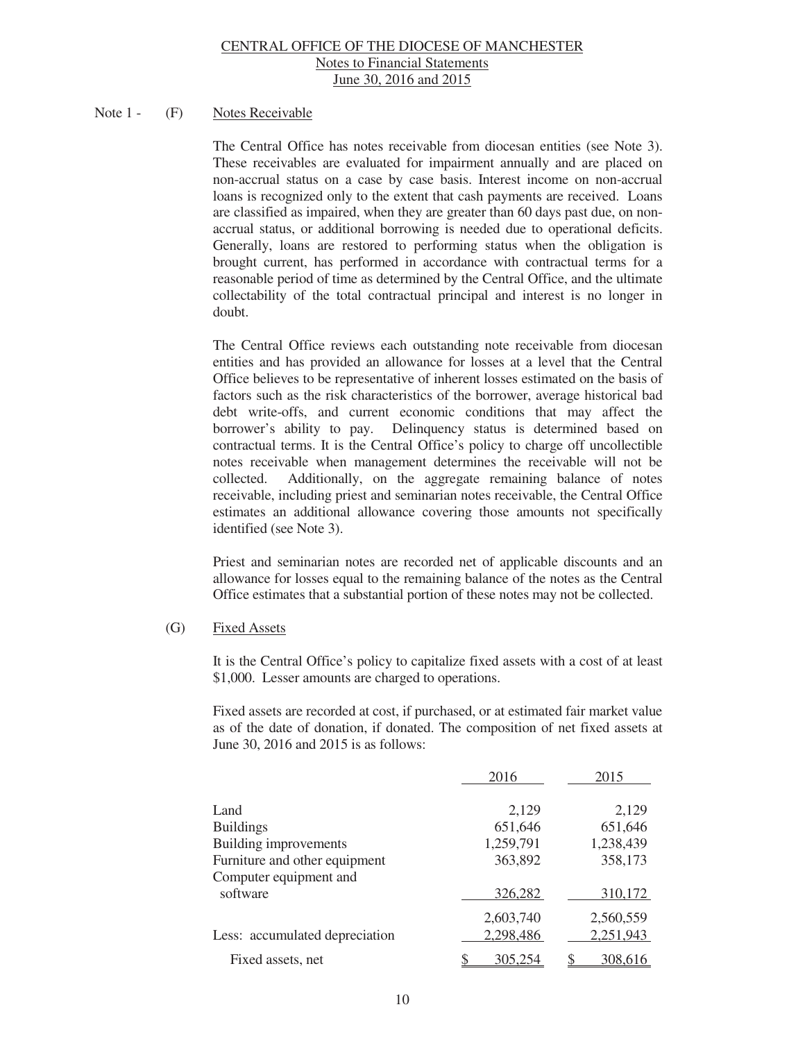# Note 1 - (F) Notes Receivable

The Central Office has notes receivable from diocesan entities (see Note 3). These receivables are evaluated for impairment annually and are placed on non-accrual status on a case by case basis. Interest income on non-accrual loans is recognized only to the extent that cash payments are received. Loans are classified as impaired, when they are greater than 60 days past due, on nonaccrual status, or additional borrowing is needed due to operational deficits. Generally, loans are restored to performing status when the obligation is brought current, has performed in accordance with contractual terms for a reasonable period of time as determined by the Central Office, and the ultimate collectability of the total contractual principal and interest is no longer in doubt.

The Central Office reviews each outstanding note receivable from diocesan entities and has provided an allowance for losses at a level that the Central Office believes to be representative of inherent losses estimated on the basis of factors such as the risk characteristics of the borrower, average historical bad debt write-offs, and current economic conditions that may affect the borrower's ability to pay. Delinquency status is determined based on contractual terms. It is the Central Office's policy to charge off uncollectible notes receivable when management determines the receivable will not be collected. Additionally, on the aggregate remaining balance of notes receivable, including priest and seminarian notes receivable, the Central Office estimates an additional allowance covering those amounts not specifically identified (see Note 3).

Priest and seminarian notes are recorded net of applicable discounts and an allowance for losses equal to the remaining balance of the notes as the Central Office estimates that a substantial portion of these notes may not be collected.

#### (G) Fixed Assets

 It is the Central Office's policy to capitalize fixed assets with a cost of at least \$1,000. Lesser amounts are charged to operations.

 Fixed assets are recorded at cost, if purchased, or at estimated fair market value as of the date of donation, if donated. The composition of net fixed assets at June 30, 2016 and 2015 is as follows:

|                                    | 2016                   | 2015                   |
|------------------------------------|------------------------|------------------------|
| Land                               | 2,129                  | 2,129                  |
| <b>Buildings</b>                   | 651,646                | 651,646                |
| Building improvements              | 1,259,791              | 1,238,439              |
| Furniture and other equipment      | 363,892                | 358,173                |
| Computer equipment and<br>software | 326,282                | 310,172                |
| Less: accumulated depreciation     | 2,603,740<br>2,298,486 | 2,560,559<br>2,251,943 |
| Fixed assets, net                  | 305,254                | 308,616                |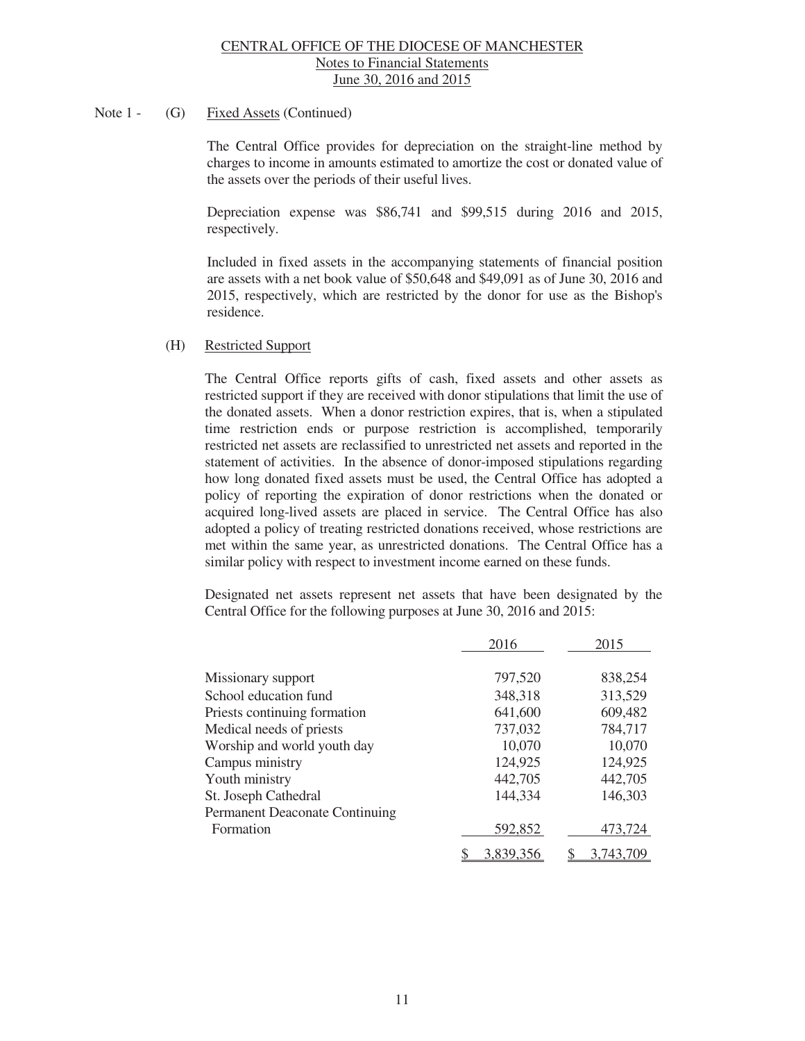# Note 1 - (G) Fixed Assets (Continued)

 The Central Office provides for depreciation on the straight-line method by charges to income in amounts estimated to amortize the cost or donated value of the assets over the periods of their useful lives.

 Depreciation expense was \$86,741 and \$99,515 during 2016 and 2015, respectively.

 Included in fixed assets in the accompanying statements of financial position are assets with a net book value of \$50,648 and \$49,091 as of June 30, 2016 and 2015, respectively, which are restricted by the donor for use as the Bishop's residence.

# (H) Restricted Support

 The Central Office reports gifts of cash, fixed assets and other assets as restricted support if they are received with donor stipulations that limit the use of the donated assets. When a donor restriction expires, that is, when a stipulated time restriction ends or purpose restriction is accomplished, temporarily restricted net assets are reclassified to unrestricted net assets and reported in the statement of activities. In the absence of donor-imposed stipulations regarding how long donated fixed assets must be used, the Central Office has adopted a policy of reporting the expiration of donor restrictions when the donated or acquired long-lived assets are placed in service. The Central Office has also adopted a policy of treating restricted donations received, whose restrictions are met within the same year, as unrestricted donations. The Central Office has a similar policy with respect to investment income earned on these funds.

 Designated net assets represent net assets that have been designated by the Central Office for the following purposes at June 30, 2016 and 2015:

|                                       | 2016      | 2015      |
|---------------------------------------|-----------|-----------|
| Missionary support                    | 797,520   | 838,254   |
| School education fund                 | 348,318   | 313,529   |
| Priests continuing formation          | 641,600   | 609,482   |
| Medical needs of priests              | 737,032   | 784,717   |
| Worship and world youth day           | 10,070    | 10,070    |
| Campus ministry                       | 124,925   | 124,925   |
| Youth ministry                        | 442,705   | 442,705   |
| St. Joseph Cathedral                  | 144,334   | 146,303   |
| <b>Permanent Deaconate Continuing</b> |           |           |
| Formation                             | 592,852   | 473,724   |
|                                       | 3,839,356 | 3,743,709 |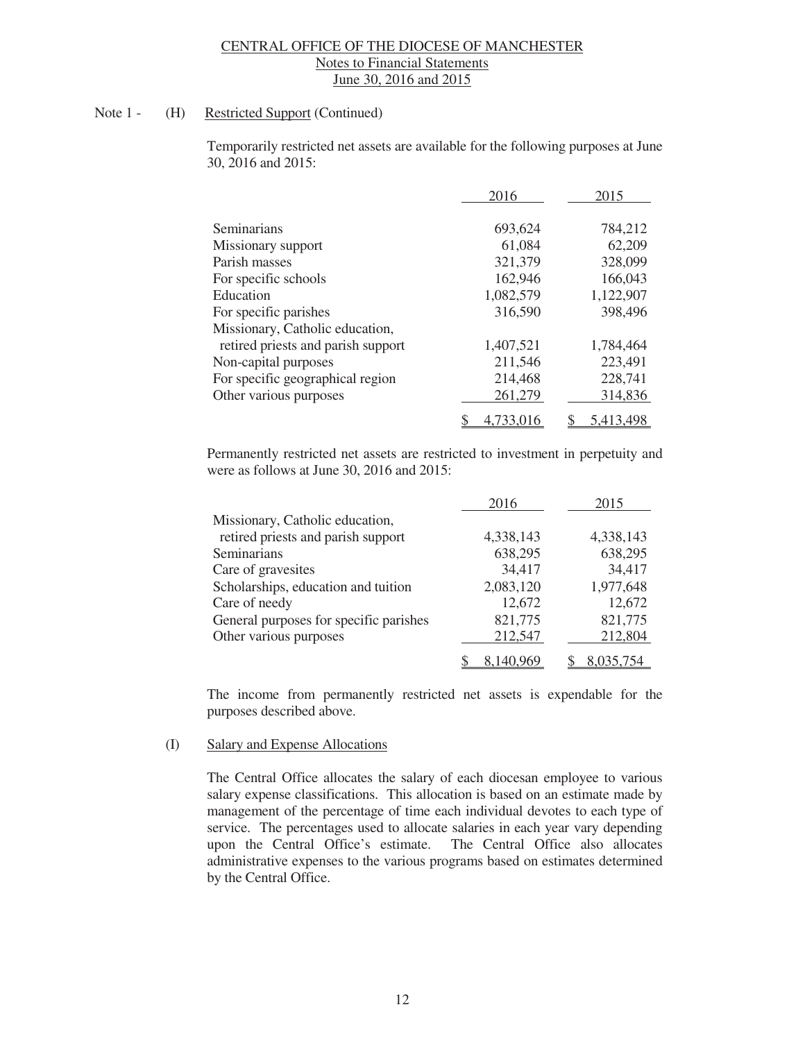# Note 1 - (H) Restricted Support (Continued)

Temporarily restricted net assets are available for the following purposes at June 30, 2016 and 2015:

|                                                                       | 2016      | 2015      |
|-----------------------------------------------------------------------|-----------|-----------|
| Seminarians                                                           | 693,624   | 784,212   |
| Missionary support                                                    | 61,084    | 62,209    |
| Parish masses                                                         | 321,379   | 328,099   |
| For specific schools                                                  | 162,946   | 166,043   |
| Education                                                             | 1,082,579 | 1,122,907 |
| For specific parishes                                                 | 316,590   | 398,496   |
| Missionary, Catholic education,<br>retired priests and parish support | 1,407,521 | 1,784,464 |
| Non-capital purposes                                                  | 211,546   | 223,491   |
| For specific geographical region                                      | 214,468   | 228,741   |
| Other various purposes                                                | 261,279   | 314,836   |
|                                                                       | 4,733,016 | 5,413,498 |

Permanently restricted net assets are restricted to investment in perpetuity and were as follows at June 30, 2016 and 2015:

|                                        | 2016      | 2015      |
|----------------------------------------|-----------|-----------|
| Missionary, Catholic education,        |           |           |
| retired priests and parish support     | 4,338,143 | 4,338,143 |
| Seminarians                            | 638,295   | 638,295   |
| Care of gravesites                     | 34,417    | 34,417    |
| Scholarships, education and tuition    | 2,083,120 | 1,977,648 |
| Care of needy                          | 12,672    | 12,672    |
| General purposes for specific parishes | 821,775   | 821,775   |
| Other various purposes                 | 212,547   | 212,804   |
|                                        | 8,140,969 | 8,035,754 |

The income from permanently restricted net assets is expendable for the purposes described above.

# (I) Salary and Expense Allocations

The Central Office allocates the salary of each diocesan employee to various salary expense classifications. This allocation is based on an estimate made by management of the percentage of time each individual devotes to each type of service. The percentages used to allocate salaries in each year vary depending upon the Central Office's estimate. The Central Office also allocates administrative expenses to the various programs based on estimates determined by the Central Office.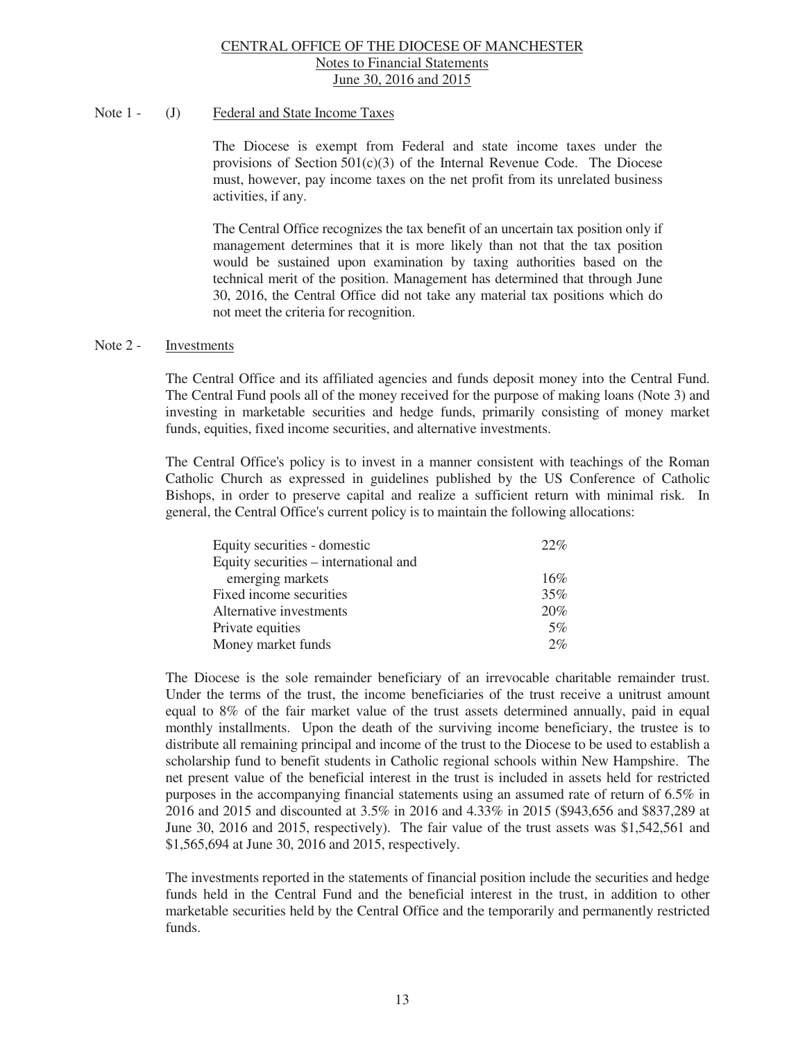# Note 1 - (J) Federal and State Income Taxes

 The Diocese is exempt from Federal and state income taxes under the provisions of Section  $501(c)(3)$  of the Internal Revenue Code. The Diocese must, however, pay income taxes on the net profit from its unrelated business activities, if any.

 The Central Office recognizes the tax benefit of an uncertain tax position only if management determines that it is more likely than not that the tax position would be sustained upon examination by taxing authorities based on the technical merit of the position. Management has determined that through June 30, 2016, the Central Office did not take any material tax positions which do not meet the criteria for recognition.

#### Note 2 - Investments

 The Central Office and its affiliated agencies and funds deposit money into the Central Fund. The Central Fund pools all of the money received for the purpose of making loans (Note 3) and investing in marketable securities and hedge funds, primarily consisting of money market funds, equities, fixed income securities, and alternative investments.

 The Central Office's policy is to invest in a manner consistent with teachings of the Roman Catholic Church as expressed in guidelines published by the US Conference of Catholic Bishops, in order to preserve capital and realize a sufficient return with minimal risk. In general, the Central Office's current policy is to maintain the following allocations:

| Equity securities - domestic          | 22%   |
|---------------------------------------|-------|
| Equity securities – international and |       |
| emerging markets                      | 16%   |
| Fixed income securities               | 35%   |
| Alternative investments               | 20%   |
| Private equities                      | $5\%$ |
| Money market funds                    | $2\%$ |

 The Diocese is the sole remainder beneficiary of an irrevocable charitable remainder trust. Under the terms of the trust, the income beneficiaries of the trust receive a unitrust amount equal to 8% of the fair market value of the trust assets determined annually, paid in equal monthly installments. Upon the death of the surviving income beneficiary, the trustee is to distribute all remaining principal and income of the trust to the Diocese to be used to establish a scholarship fund to benefit students in Catholic regional schools within New Hampshire. The net present value of the beneficial interest in the trust is included in assets held for restricted purposes in the accompanying financial statements using an assumed rate of return of 6.5% in 2016 and 2015 and discounted at 3.5% in 2016 and 4.33% in 2015 (\$943,656 and \$837,289 at June 30, 2016 and 2015, respectively). The fair value of the trust assets was \$1,542,561 and \$1,565,694 at June 30, 2016 and 2015, respectively.

 The investments reported in the statements of financial position include the securities and hedge funds held in the Central Fund and the beneficial interest in the trust, in addition to other marketable securities held by the Central Office and the temporarily and permanently restricted funds.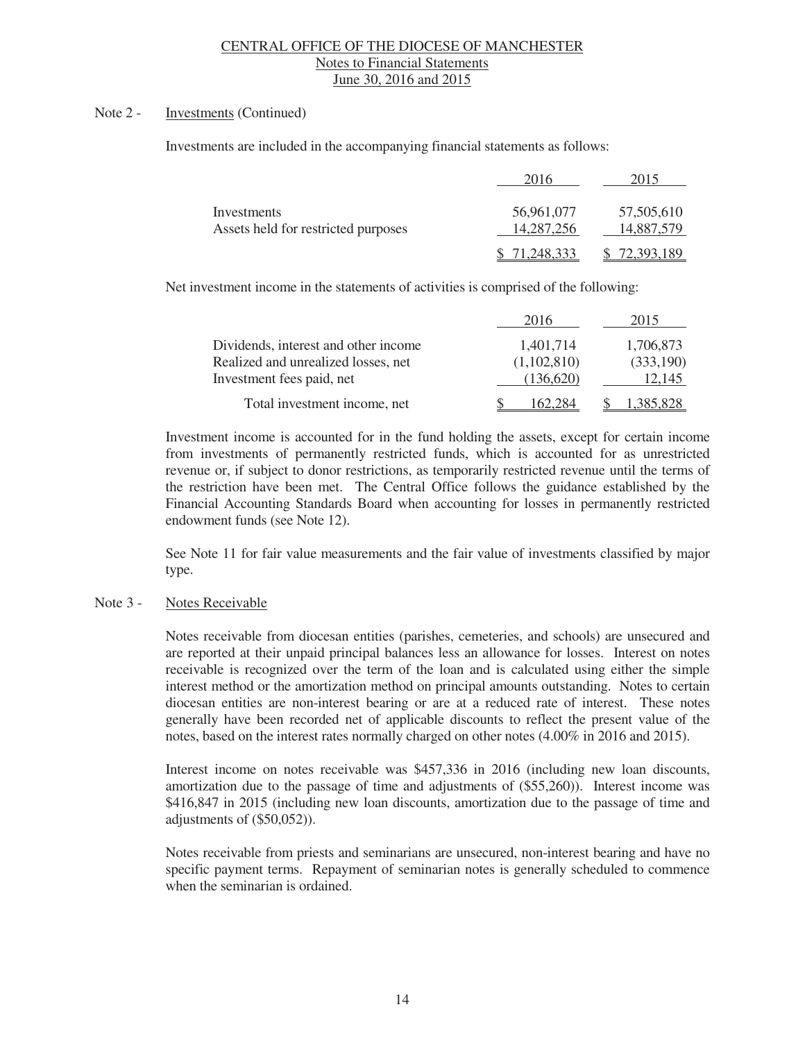# Note 2 - **Investments** (Continued)

Investments are included in the accompanying financial statements as follows:

|                                                    | 2016                     | 2015                     |
|----------------------------------------------------|--------------------------|--------------------------|
| Investments<br>Assets held for restricted purposes | 56,961,077<br>14,287,256 | 57,505,610<br>14,887,579 |
|                                                    | 71,248,333               | 72,393,189               |

Net investment income in the statements of activities is comprised of the following:

|                                      | 2016        | 2015      |
|--------------------------------------|-------------|-----------|
| Dividends, interest and other income | 1.401.714   | 1,706,873 |
| Realized and unrealized losses, net  | (1,102,810) | (333,190) |
| Investment fees paid, net            | (136.620)   | 12.145    |
| Total investment income, net         | 162.284     | 1,385,828 |

Investment income is accounted for in the fund holding the assets, except for certain income from investments of permanently restricted funds, which is accounted for as unrestricted revenue or, if subject to donor restrictions, as temporarily restricted revenue until the terms of the restriction have been met. The Central Office follows the guidance established by the Financial Accounting Standards Board when accounting for losses in permanently restricted endowment funds (see Note 12).

 See Note 11 for fair value measurements and the fair value of investments classified by major type.

#### Note 3 - Notes Receivable

Notes receivable from diocesan entities (parishes, cemeteries, and schools) are unsecured and are reported at their unpaid principal balances less an allowance for losses. Interest on notes receivable is recognized over the term of the loan and is calculated using either the simple interest method or the amortization method on principal amounts outstanding. Notes to certain diocesan entities are non-interest bearing or are at a reduced rate of interest. These notes generally have been recorded net of applicable discounts to reflect the present value of the notes, based on the interest rates normally charged on other notes (4.00% in 2016 and 2015).

Interest income on notes receivable was \$457,336 in 2016 (including new loan discounts, amortization due to the passage of time and adjustments of (\$55,260)). Interest income was \$416,847 in 2015 (including new loan discounts, amortization due to the passage of time and adjustments of (\$50,052)).

Notes receivable from priests and seminarians are unsecured, non-interest bearing and have no specific payment terms. Repayment of seminarian notes is generally scheduled to commence when the seminarian is ordained.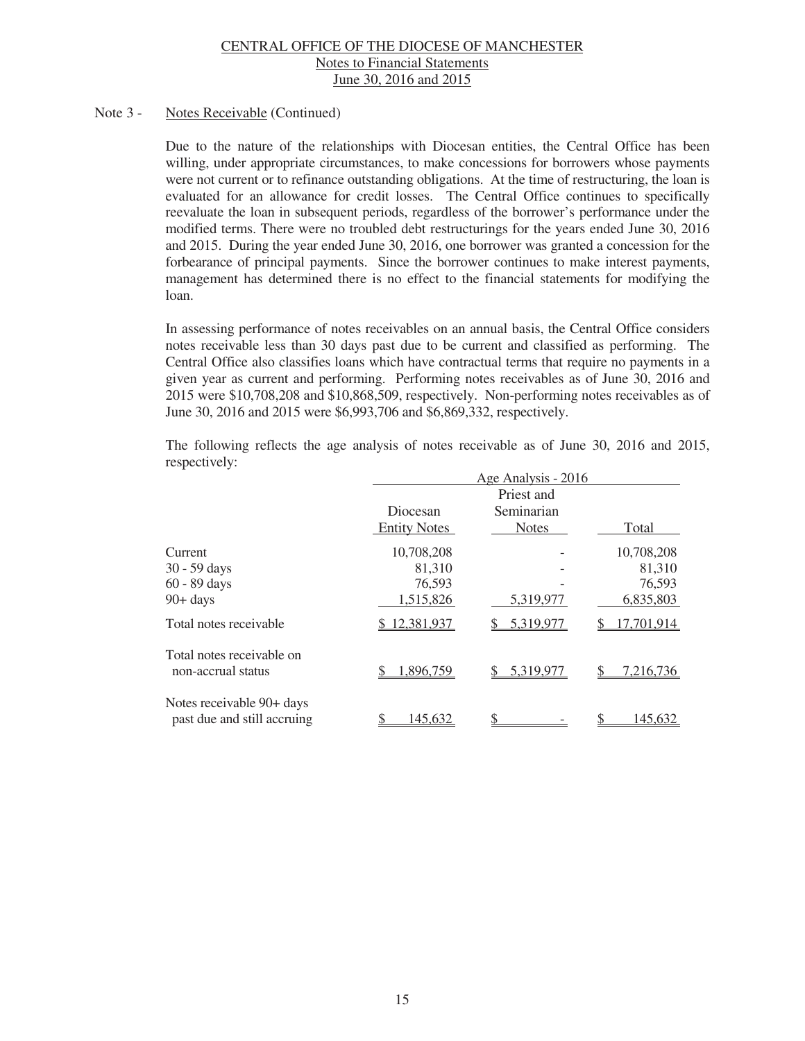# Note 3 - Notes Receivable (Continued)

Due to the nature of the relationships with Diocesan entities, the Central Office has been willing, under appropriate circumstances, to make concessions for borrowers whose payments were not current or to refinance outstanding obligations. At the time of restructuring, the loan is evaluated for an allowance for credit losses. The Central Office continues to specifically reevaluate the loan in subsequent periods, regardless of the borrower's performance under the modified terms. There were no troubled debt restructurings for the years ended June 30, 2016 and 2015. During the year ended June 30, 2016, one borrower was granted a concession for the forbearance of principal payments. Since the borrower continues to make interest payments, management has determined there is no effect to the financial statements for modifying the loan.

In assessing performance of notes receivables on an annual basis, the Central Office considers notes receivable less than 30 days past due to be current and classified as performing. The Central Office also classifies loans which have contractual terms that require no payments in a given year as current and performing. Performing notes receivables as of June 30, 2016 and 2015 were \$10,708,208 and \$10,868,509, respectively. Non-performing notes receivables as of June 30, 2016 and 2015 were \$6,993,706 and \$6,869,332, respectively.

The following reflects the age analysis of notes receivable as of June 30, 2016 and 2015, respectively:

|                                                          |                     | Age Analysis - 2016 |                |  |  |  |  |
|----------------------------------------------------------|---------------------|---------------------|----------------|--|--|--|--|
|                                                          |                     | Priest and          |                |  |  |  |  |
|                                                          | Diocesan            | Seminarian          |                |  |  |  |  |
|                                                          | <b>Entity Notes</b> | <b>Notes</b>        | Total          |  |  |  |  |
| Current                                                  | 10,708,208          |                     | 10,708,208     |  |  |  |  |
| $30 - 59$ days                                           | 81,310              |                     | 81,310         |  |  |  |  |
| 60 - 89 days                                             | 76,593              |                     | 76,593         |  |  |  |  |
| $90+ days$                                               | 1,515,826           | 5,319,977           | 6,835,803      |  |  |  |  |
| Total notes receivable                                   | 12,381,937          | 5,319,977           | 17,701,914     |  |  |  |  |
| Total notes receivable on<br>non-accrual status          | 1,896,759           | 5,319,977           | 7,216,736      |  |  |  |  |
| Notes receivable 90+ days<br>past due and still accruing | <u>145,632</u>      |                     | <u>145,632</u> |  |  |  |  |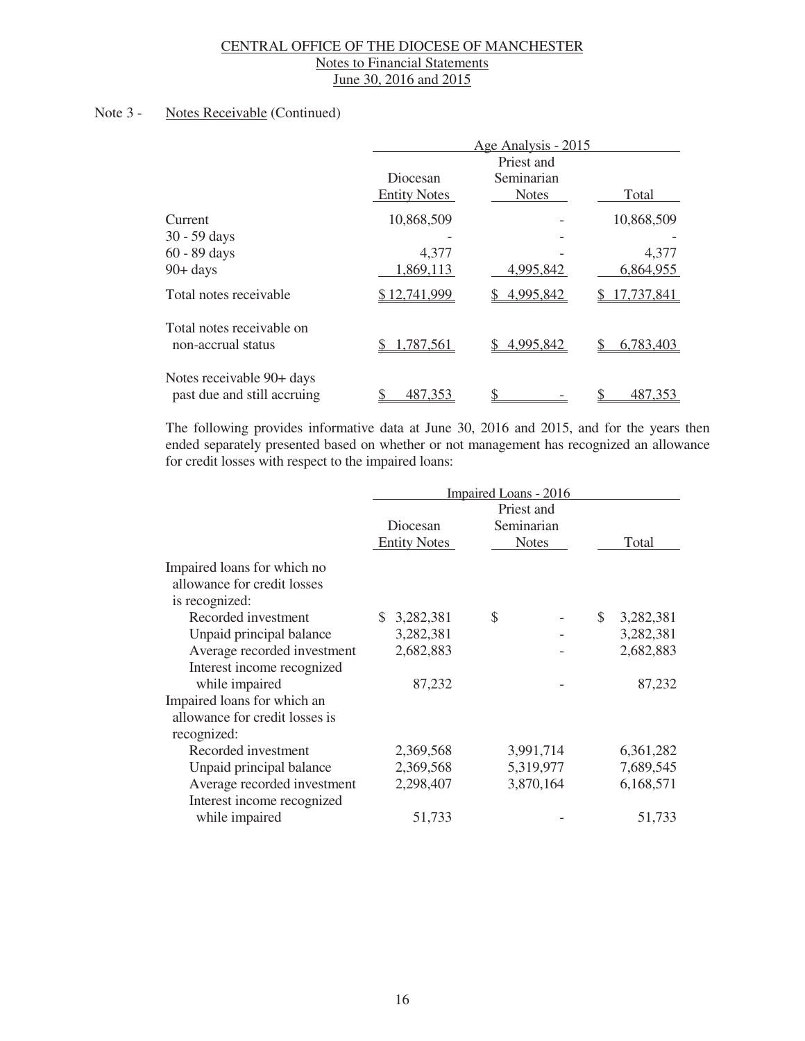# Note 3 - Notes Receivable (Continued)

|                             |                     | Age Analysis - 2015 |            |  |  |
|-----------------------------|---------------------|---------------------|------------|--|--|
|                             |                     | Priest and          |            |  |  |
|                             | Diocesan            | Seminarian          |            |  |  |
|                             | <b>Entity Notes</b> | <b>Notes</b>        | Total      |  |  |
| Current                     | 10,868,509          |                     | 10,868,509 |  |  |
| 30 - 59 days                |                     |                     |            |  |  |
| 60 - 89 days                | 4,377               |                     | 4,377      |  |  |
| $90+$ days                  | 1,869,113           | 4,995,842           | 6,864,955  |  |  |
| Total notes receivable      | \$12,741,999        | 4,995,842           | 17,737,841 |  |  |
| Total notes receivable on   |                     |                     |            |  |  |
| non-accrual status          | 1,787,561           | 4,995,842           | 6,783,403  |  |  |
| Notes receivable 90+ days   |                     |                     |            |  |  |
| past due and still accruing | 487,353             |                     | 487,353    |  |  |

The following provides informative data at June 30, 2016 and 2015, and for the years then ended separately presented based on whether or not management has recognized an allowance for credit losses with respect to the impaired loans:

|                                | <b>Impaired Loans - 2016</b> |              |                           |  |
|--------------------------------|------------------------------|--------------|---------------------------|--|
|                                |                              | Priest and   |                           |  |
|                                | Diocesan                     | Seminarian   |                           |  |
|                                | <b>Entity Notes</b>          | <b>Notes</b> | Total                     |  |
| Impaired loans for which no    |                              |              |                           |  |
| allowance for credit losses    |                              |              |                           |  |
| is recognized:                 |                              |              |                           |  |
| Recorded investment            | 3,282,381<br>S.              | \$           | 3,282,381<br>$\mathbb{S}$ |  |
| Unpaid principal balance       | 3,282,381                    |              | 3,282,381                 |  |
| Average recorded investment    | 2,682,883                    |              | 2,682,883                 |  |
| Interest income recognized     |                              |              |                           |  |
| while impaired                 | 87,232                       |              | 87,232                    |  |
| Impaired loans for which an    |                              |              |                           |  |
| allowance for credit losses is |                              |              |                           |  |
| recognized:                    |                              |              |                           |  |
| Recorded investment            | 2,369,568                    | 3,991,714    | 6,361,282                 |  |
| Unpaid principal balance       | 2,369,568                    | 5,319,977    | 7,689,545                 |  |
| Average recorded investment    | 2,298,407                    | 3,870,164    | 6,168,571                 |  |
| Interest income recognized     |                              |              |                           |  |
| while impaired                 | 51,733                       |              | 51,733                    |  |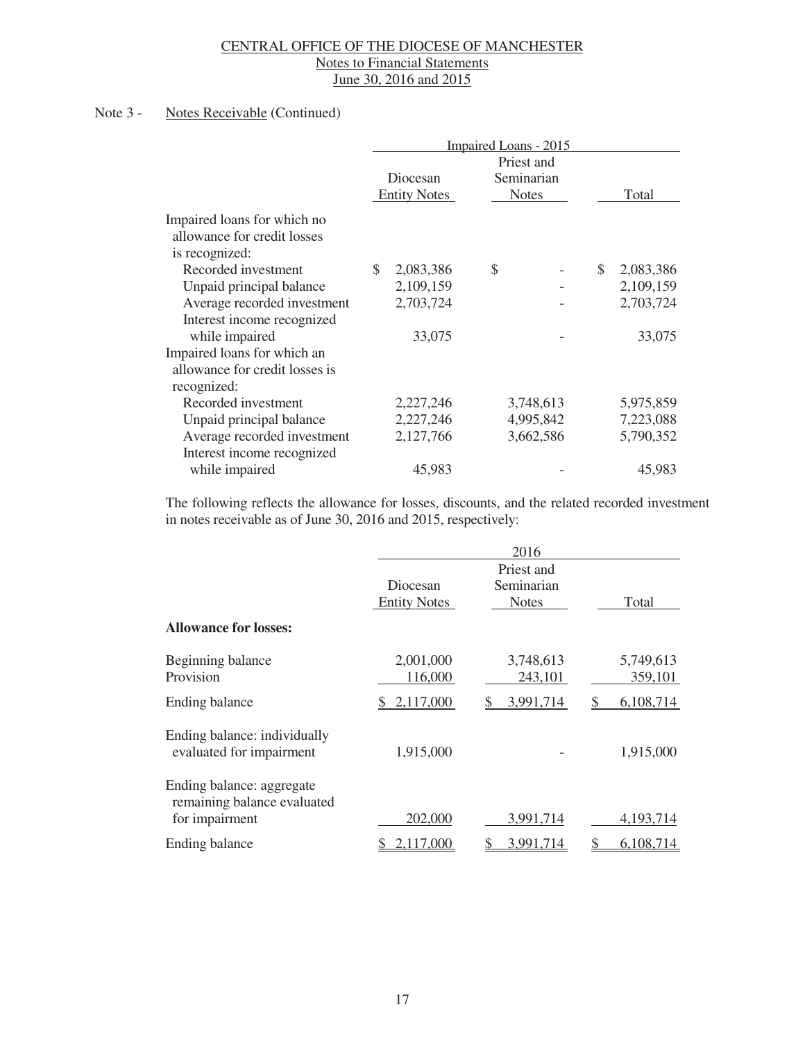# Note 3 - Notes Receivable (Continued)

|                                | Impaired Loans - 2015 |                     |    |              |    |           |
|--------------------------------|-----------------------|---------------------|----|--------------|----|-----------|
|                                |                       |                     |    | Priest and   |    |           |
|                                |                       | Diocesan            |    | Seminarian   |    |           |
|                                |                       | <b>Entity Notes</b> |    | <b>Notes</b> |    | Total     |
| Impaired loans for which no    |                       |                     |    |              |    |           |
| allowance for credit losses    |                       |                     |    |              |    |           |
| is recognized:                 |                       |                     |    |              |    |           |
| Recorded investment            | <sup>S</sup>          | 2,083,386           | \$ |              | \$ | 2,083,386 |
| Unpaid principal balance       |                       | 2,109,159           |    |              |    | 2,109,159 |
| Average recorded investment    |                       | 2,703,724           |    |              |    | 2,703,724 |
| Interest income recognized     |                       |                     |    |              |    |           |
| while impaired                 |                       | 33,075              |    |              |    | 33,075    |
| Impaired loans for which an    |                       |                     |    |              |    |           |
| allowance for credit losses is |                       |                     |    |              |    |           |
| recognized:                    |                       |                     |    |              |    |           |
| Recorded investment            |                       | 2,227,246           |    | 3,748,613    |    | 5,975,859 |
| Unpaid principal balance       |                       | 2,227,246           |    | 4,995,842    |    | 7,223,088 |
| Average recorded investment    |                       | 2,127,766           |    | 3,662,586    |    | 5,790,352 |
| Interest income recognized     |                       |                     |    |              |    |           |
| while impaired                 |                       | 45,983              |    |              |    | 45,983    |

The following reflects the allowance for losses, discounts, and the related recorded investment in notes receivable as of June 30, 2016 and 2015, respectively:

|                                                                            |                                 | 2016                                     |                      |  |
|----------------------------------------------------------------------------|---------------------------------|------------------------------------------|----------------------|--|
|                                                                            | Diocesan<br><b>Entity Notes</b> | Priest and<br>Seminarian<br><b>Notes</b> |                      |  |
| <b>Allowance for losses:</b>                                               |                                 |                                          |                      |  |
| Beginning balance<br>Provision                                             | 2,001,000<br>116,000            | 3,748,613<br>243,101                     | 5,749,613<br>359,101 |  |
| Ending balance                                                             | 2,117,000                       | 3,991,714                                | 6,108,714<br>S       |  |
| Ending balance: individually<br>evaluated for impairment                   | 1,915,000                       |                                          | 1,915,000            |  |
| Ending balance: aggregate<br>remaining balance evaluated<br>for impairment | 202,000                         | 3,991,714                                | 4,193,714            |  |
| Ending balance                                                             | 2,117,000                       | 3,991,714                                | 6,108,714<br>\$      |  |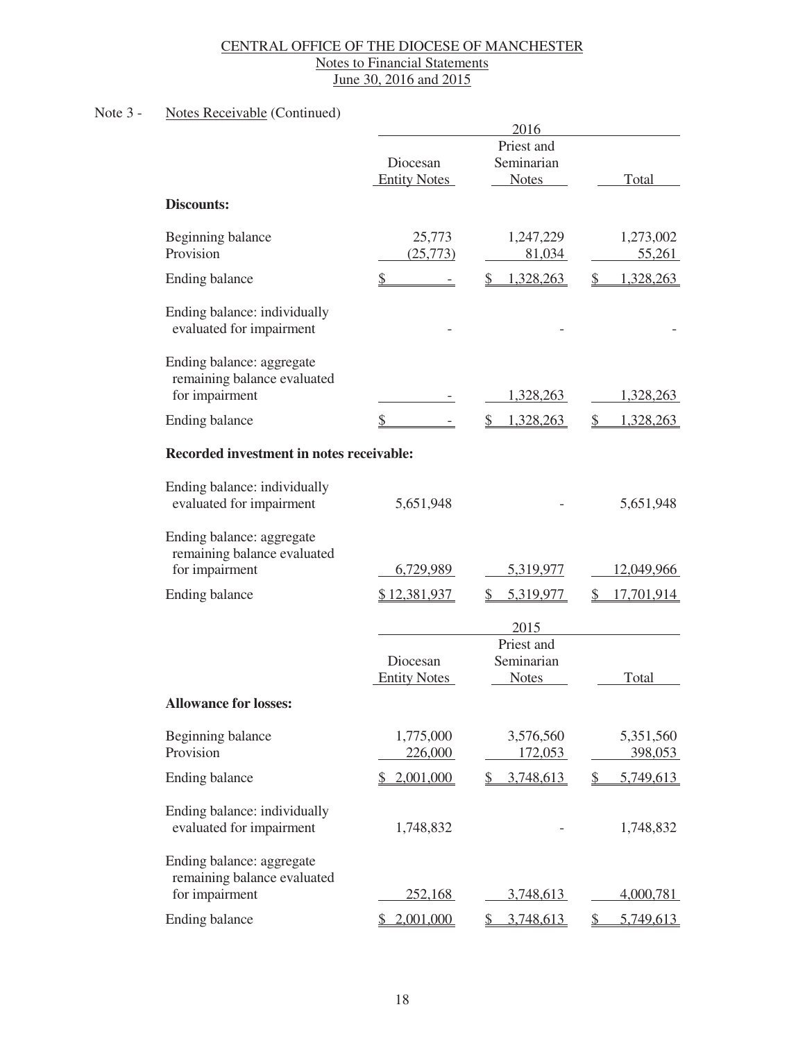# Note 3 - Notes Receivable (Continued)

|                                                                            |                                 | 2016                                     |                      |
|----------------------------------------------------------------------------|---------------------------------|------------------------------------------|----------------------|
|                                                                            |                                 | Priest and                               |                      |
|                                                                            | Diocesan                        | Seminarian                               |                      |
|                                                                            | <b>Entity Notes</b>             | <b>Notes</b>                             | Total                |
| <b>Discounts:</b>                                                          |                                 |                                          |                      |
| Beginning balance                                                          | 25,773                          | 1,247,229                                | 1,273,002            |
| Provision                                                                  | (25,773)                        | 81,034                                   | 55,261               |
| Ending balance                                                             | \$                              | 1,328,263                                | 1,328,263<br>\$      |
| Ending balance: individually<br>evaluated for impairment                   |                                 |                                          |                      |
| Ending balance: aggregate<br>remaining balance evaluated<br>for impairment |                                 | 1,328,263                                | 1,328,263            |
|                                                                            |                                 |                                          |                      |
| Ending balance                                                             | \$                              | 1,328,263                                | \$<br>1,328,263      |
| Recorded investment in notes receivable:                                   |                                 |                                          |                      |
| Ending balance: individually                                               |                                 |                                          |                      |
| evaluated for impairment                                                   | 5,651,948                       |                                          | 5,651,948            |
| Ending balance: aggregate<br>remaining balance evaluated                   |                                 |                                          |                      |
| for impairment                                                             | 6,729,989                       | 5,319,977                                | 12,049,966           |
| <b>Ending balance</b>                                                      | \$12,381,937                    | 5,319,977<br>S                           | \$<br>17,701,914     |
|                                                                            |                                 | 2015                                     |                      |
|                                                                            | Diocesan<br><b>Entity Notes</b> | Priest and<br>Seminarian<br><b>Notes</b> | Total                |
| <b>Allowance for losses:</b>                                               |                                 |                                          |                      |
| Beginning balance<br>Provision                                             | 1,775,000<br>226,000            | 3,576,560<br>172,053                     | 5,351,560<br>398,053 |
| <b>Ending balance</b>                                                      | 2,001,000                       | 3,748,613                                | \$<br>5,749,613      |
| Ending balance: individually<br>evaluated for impairment                   | 1,748,832                       |                                          | 1,748,832            |
| Ending balance: aggregate<br>remaining balance evaluated                   |                                 |                                          |                      |
| for impairment                                                             | <u>252,168</u>                  | <u>3,748,613</u>                         | <u>4,000,781</u>     |
| Ending balance                                                             | 2,001,000                       | 3,748,613                                | \$<br>5,749,613      |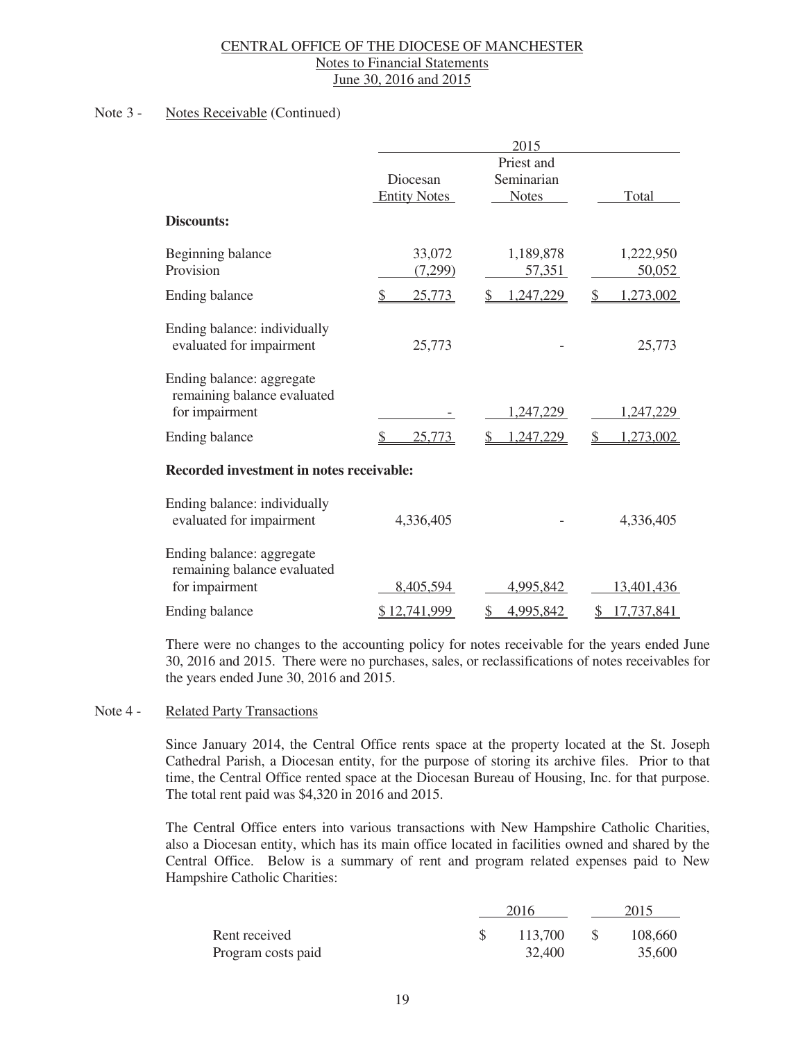# Note 3 - Notes Receivable (Continued)

|                                                                            | 2015                |                          |                     |  |  |
|----------------------------------------------------------------------------|---------------------|--------------------------|---------------------|--|--|
|                                                                            | Diocesan            | Priest and<br>Seminarian |                     |  |  |
|                                                                            | <b>Entity Notes</b> | <b>Notes</b>             | Total               |  |  |
| <b>Discounts:</b>                                                          |                     |                          |                     |  |  |
| Beginning balance<br>Provision                                             | 33,072<br>(7,299)   | 1,189,878<br>57,351      | 1,222,950<br>50,052 |  |  |
| Ending balance                                                             | 25,773              | 1,247,229                | \$<br>1,273,002     |  |  |
| Ending balance: individually<br>evaluated for impairment                   | 25,773              |                          | 25,773              |  |  |
| Ending balance: aggregate<br>remaining balance evaluated<br>for impairment |                     | 1,247,229                | 1,247,229           |  |  |
| Ending balance                                                             | 25,773              | 1,247,229                | \$<br>1,273,002     |  |  |
| Recorded investment in notes receivable:                                   |                     |                          |                     |  |  |
| Ending balance: individually<br>evaluated for impairment                   | 4,336,405           |                          | 4,336,405           |  |  |
| Ending balance: aggregate<br>remaining balance evaluated<br>for impairment | 8,405,594           | 4,995,842                | 13,401,436          |  |  |
| Ending balance                                                             | \$12,741,999        | 4,995,842<br>\$          | 17,737,841<br>\$    |  |  |

There were no changes to the accounting policy for notes receivable for the years ended June 30, 2016 and 2015. There were no purchases, sales, or reclassifications of notes receivables for the years ended June 30, 2016 and 2015.

# Note 4 - Related Party Transactions

 Since January 2014, the Central Office rents space at the property located at the St. Joseph Cathedral Parish, a Diocesan entity, for the purpose of storing its archive files. Prior to that time, the Central Office rented space at the Diocesan Bureau of Housing, Inc. for that purpose. The total rent paid was \$4,320 in 2016 and 2015.

 The Central Office enters into various transactions with New Hampshire Catholic Charities, also a Diocesan entity, which has its main office located in facilities owned and shared by the Central Office. Below is a summary of rent and program related expenses paid to New Hampshire Catholic Charities:

|                    | 2016 |         | 2015         |         |
|--------------------|------|---------|--------------|---------|
| Rent received      |      | 113.700 | <sup>S</sup> | 108,660 |
| Program costs paid |      | 32,400  |              | 35,600  |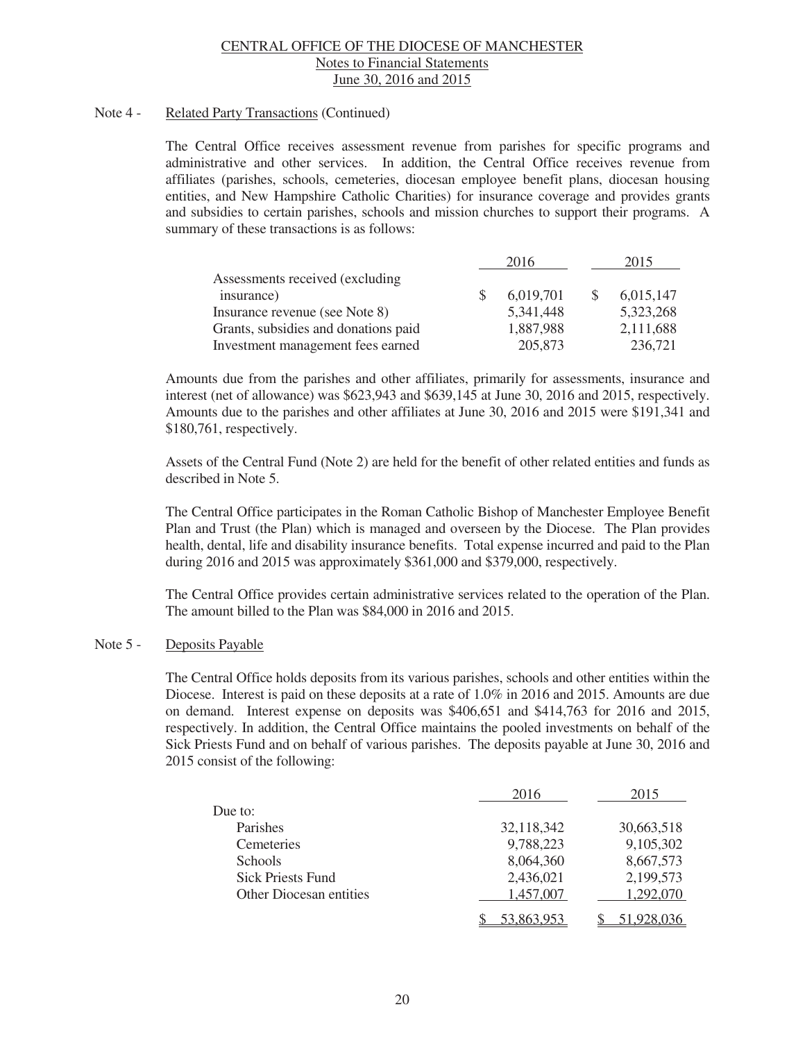# Note 4 - Related Party Transactions (Continued)

 The Central Office receives assessment revenue from parishes for specific programs and administrative and other services. In addition, the Central Office receives revenue from affiliates (parishes, schools, cemeteries, diocesan employee benefit plans, diocesan housing entities, and New Hampshire Catholic Charities) for insurance coverage and provides grants and subsidies to certain parishes, schools and mission churches to support their programs. A summary of these transactions is as follows:

|                                      | 2016      | 2015      |
|--------------------------------------|-----------|-----------|
| Assessments received (excluding)     |           |           |
| insurance)                           | 6,019,701 | 6,015,147 |
| Insurance revenue (see Note 8)       | 5,341,448 | 5,323,268 |
| Grants, subsidies and donations paid | 1,887,988 | 2,111,688 |
| Investment management fees earned    | 205,873   | 236,721   |

 Amounts due from the parishes and other affiliates, primarily for assessments, insurance and interest (net of allowance) was \$623,943 and \$639,145 at June 30, 2016 and 2015, respectively. Amounts due to the parishes and other affiliates at June 30, 2016 and 2015 were \$191,341 and \$180,761, respectively.

 Assets of the Central Fund (Note 2) are held for the benefit of other related entities and funds as described in Note 5.

The Central Office participates in the Roman Catholic Bishop of Manchester Employee Benefit Plan and Trust (the Plan) which is managed and overseen by the Diocese. The Plan provides health, dental, life and disability insurance benefits. Total expense incurred and paid to the Plan during 2016 and 2015 was approximately \$361,000 and \$379,000, respectively.

The Central Office provides certain administrative services related to the operation of the Plan. The amount billed to the Plan was \$84,000 in 2016 and 2015.

#### Note 5 - Deposits Payable

 The Central Office holds deposits from its various parishes, schools and other entities within the Diocese. Interest is paid on these deposits at a rate of 1.0% in 2016 and 2015. Amounts are due on demand. Interest expense on deposits was \$406,651 and \$414,763 for 2016 and 2015, respectively. In addition, the Central Office maintains the pooled investments on behalf of the Sick Priests Fund and on behalf of various parishes. The deposits payable at June 30, 2016 and 2015 consist of the following:

|                                | 2016       | 2015       |
|--------------------------------|------------|------------|
| Due to:                        |            |            |
| Parishes                       | 32,118,342 | 30,663,518 |
| Cemeteries                     | 9,788,223  | 9,105,302  |
| Schools                        | 8,064,360  | 8,667,573  |
| <b>Sick Priests Fund</b>       | 2,436,021  | 2,199,573  |
| <b>Other Diocesan entities</b> | 1,457,007  | 1,292,070  |
|                                | 53,863,953 | 51,928,036 |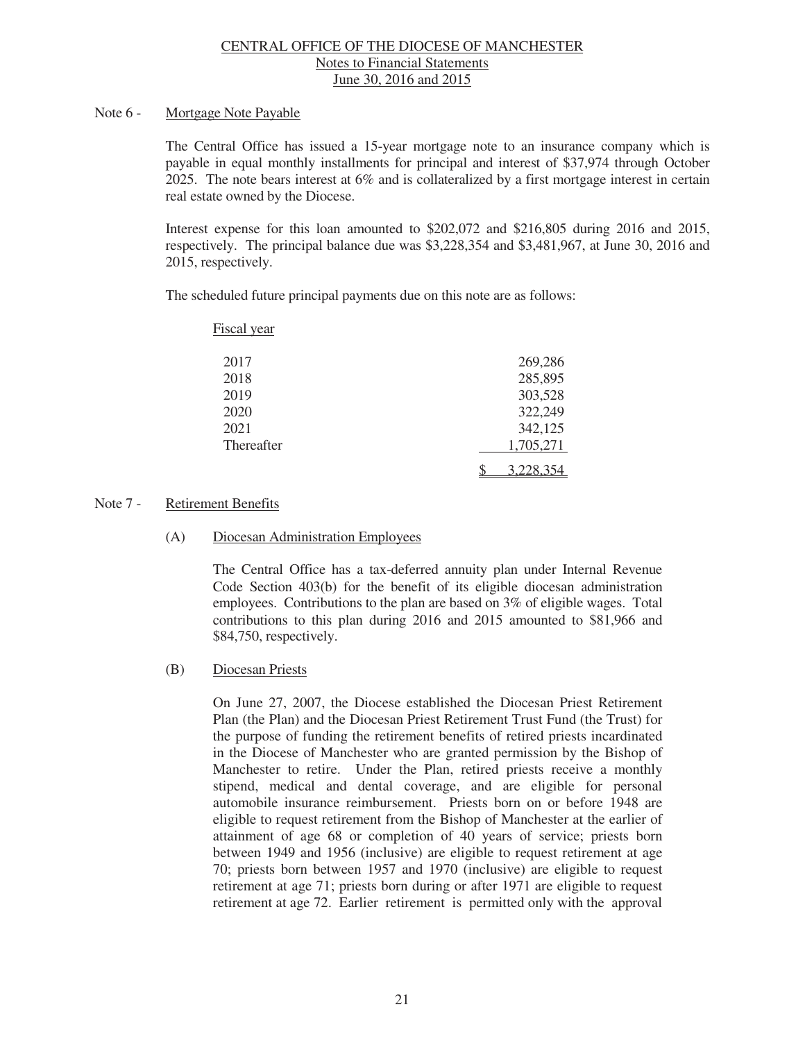# Note 6 - Mortgage Note Payable

The Central Office has issued a 15-year mortgage note to an insurance company which is payable in equal monthly installments for principal and interest of \$37,974 through October 2025. The note bears interest at 6% and is collateralized by a first mortgage interest in certain real estate owned by the Diocese.

Interest expense for this loan amounted to \$202,072 and \$216,805 during 2016 and 2015, respectively. The principal balance due was \$3,228,354 and \$3,481,967, at June 30, 2016 and 2015, respectively.

The scheduled future principal payments due on this note are as follows:

| Fiscal year |           |
|-------------|-----------|
| 2017        | 269,286   |
| 2018        | 285,895   |
| 2019        | 303,528   |
| 2020        | 322,249   |
| 2021        | 342,125   |
| Thereafter  | 1,705,271 |
|             | 3,228,354 |

#### Note 7 - Retirement Benefits

# (A) Diocesan Administration Employees

The Central Office has a tax-deferred annuity plan under Internal Revenue Code Section 403(b) for the benefit of its eligible diocesan administration employees. Contributions to the plan are based on 3% of eligible wages. Total contributions to this plan during 2016 and 2015 amounted to \$81,966 and \$84,750, respectively.

# (B) Diocesan Priests

On June 27, 2007, the Diocese established the Diocesan Priest Retirement Plan (the Plan) and the Diocesan Priest Retirement Trust Fund (the Trust) for the purpose of funding the retirement benefits of retired priests incardinated in the Diocese of Manchester who are granted permission by the Bishop of Manchester to retire. Under the Plan, retired priests receive a monthly stipend, medical and dental coverage, and are eligible for personal automobile insurance reimbursement. Priests born on or before 1948 are eligible to request retirement from the Bishop of Manchester at the earlier of attainment of age 68 or completion of 40 years of service; priests born between 1949 and 1956 (inclusive) are eligible to request retirement at age 70; priests born between 1957 and 1970 (inclusive) are eligible to request retirement at age 71; priests born during or after 1971 are eligible to request retirement at age 72. Earlier retirement is permitted only with the approval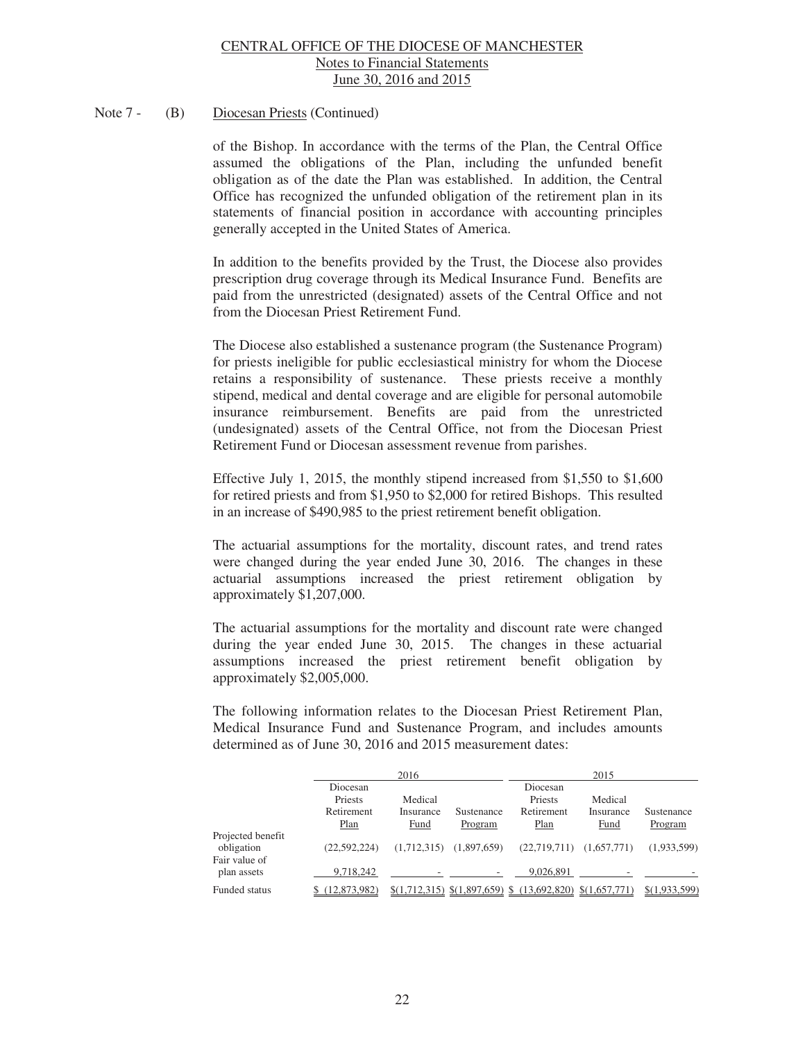# Note 7 - (B) Diocesan Priests (Continued)

of the Bishop. In accordance with the terms of the Plan, the Central Office assumed the obligations of the Plan, including the unfunded benefit obligation as of the date the Plan was established. In addition, the Central Office has recognized the unfunded obligation of the retirement plan in its statements of financial position in accordance with accounting principles generally accepted in the United States of America.

In addition to the benefits provided by the Trust, the Diocese also provides prescription drug coverage through its Medical Insurance Fund. Benefits are paid from the unrestricted (designated) assets of the Central Office and not from the Diocesan Priest Retirement Fund.

The Diocese also established a sustenance program (the Sustenance Program) for priests ineligible for public ecclesiastical ministry for whom the Diocese retains a responsibility of sustenance. These priests receive a monthly stipend, medical and dental coverage and are eligible for personal automobile insurance reimbursement. Benefits are paid from the unrestricted (undesignated) assets of the Central Office, not from the Diocesan Priest Retirement Fund or Diocesan assessment revenue from parishes.

Effective July 1, 2015, the monthly stipend increased from \$1,550 to \$1,600 for retired priests and from \$1,950 to \$2,000 for retired Bishops. This resulted in an increase of \$490,985 to the priest retirement benefit obligation.

The actuarial assumptions for the mortality, discount rates, and trend rates were changed during the year ended June 30, 2016. The changes in these actuarial assumptions increased the priest retirement obligation by approximately \$1,207,000.

The actuarial assumptions for the mortality and discount rate were changed during the year ended June 30, 2015. The changes in these actuarial assumptions increased the priest retirement benefit obligation by approximately \$2,005,000.

The following information relates to the Diocesan Priest Retirement Plan, Medical Insurance Fund and Sustenance Program, and includes amounts determined as of June 30, 2016 and 2015 measurement dates:

|                                                  |                     | 2016              |                             |                                                              | 2015              |                       |
|--------------------------------------------------|---------------------|-------------------|-----------------------------|--------------------------------------------------------------|-------------------|-----------------------|
|                                                  | Diocesan<br>Priests | Medical           |                             | Diocesan<br>Priests                                          | Medical           |                       |
|                                                  | Retirement<br>Plan  | Insurance<br>Fund | Sustenance<br>Program       | Retirement<br>Plan                                           | Insurance<br>Fund | Sustenance<br>Program |
| Projected benefit<br>obligation<br>Fair value of | (22, 592, 224)      |                   | $(1,712,315)$ $(1,897,659)$ | (22,719,711)                                                 | (1,657,771)       | (1,933,599)           |
| plan assets                                      | 9.718.242           |                   |                             | 9.026.891                                                    |                   |                       |
| Funded status                                    | \$(12,873,982)      |                   |                             | $$(1,712,315)$ $$(1,897,659)$ $$(13,692,820)$ $$(1,657,771)$ |                   | \$(1,933,599)         |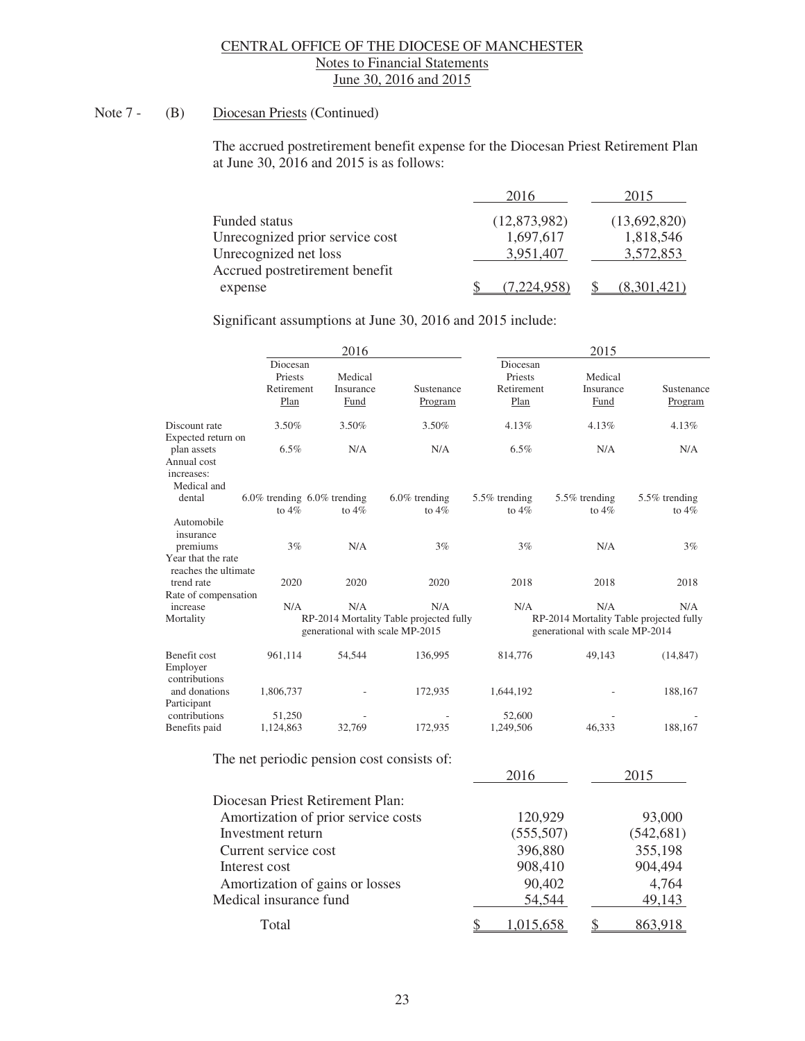# Note 7 - (B) Diocesan Priests (Continued)

The accrued postretirement benefit expense for the Diocesan Priest Retirement Plan at June 30, 2016 and 2015 is as follows:

|                                 | 2016         | 2015         |
|---------------------------------|--------------|--------------|
| Funded status                   | (12,873,982) | (13,692,820) |
| Unrecognized prior service cost | 1,697,617    | 1,818,546    |
| Unrecognized net loss           | 3,951,407    | 3,572,853    |
| Accrued postretirement benefit  |              |              |
| expense                         | (7,224,958)  | (8,301,421)  |

Significant assumptions at June 30, 2016 and 2015 include:

|                                                         |                                               | 2016                         |                                                                            | 2015                                      |                                                                            |                              |
|---------------------------------------------------------|-----------------------------------------------|------------------------------|----------------------------------------------------------------------------|-------------------------------------------|----------------------------------------------------------------------------|------------------------------|
|                                                         | Diocesan<br>Priests<br>Retirement<br>Plan     | Medical<br>Insurance<br>Fund | Sustenance<br>Program                                                      | Diocesan<br>Priests<br>Retirement<br>Plan | Medical<br>Insurance<br><b>Fund</b>                                        | Sustenance<br><b>Program</b> |
| Discount rate                                           | 3.50%                                         | 3.50%                        | 3.50%                                                                      | 4.13%                                     | 4.13%                                                                      | 4.13%                        |
| Expected return on                                      |                                               |                              |                                                                            |                                           |                                                                            |                              |
| plan assets<br>Annual cost<br>increases:<br>Medical and | 6.5%                                          | N/A                          | N/A                                                                        | 6.5%                                      | N/A                                                                        | N/A                          |
| dental                                                  | $6.0\%$ trending $6.0\%$ trending<br>to $4\%$ | to $4\%$                     | 6.0% trending<br>to $4\%$                                                  | 5.5% trending<br>to $4\%$                 | 5.5% trending<br>to $4\%$                                                  | 5.5% trending<br>to $4\%$    |
| Automobile<br>insurance                                 |                                               |                              |                                                                            |                                           |                                                                            |                              |
| premiums<br>Year that the rate                          | 3%                                            | N/A                          | 3%                                                                         | 3%                                        | N/A                                                                        | 3%                           |
| reaches the ultimate                                    |                                               |                              |                                                                            |                                           |                                                                            |                              |
| trend rate                                              | 2020                                          | 2020                         | 2020                                                                       | 2018                                      | 2018                                                                       | 2018                         |
| Rate of compensation<br>increase                        | N/A                                           | N/A                          | N/A                                                                        | N/A                                       | N/A                                                                        | N/A                          |
| Mortality                                               |                                               |                              | RP-2014 Mortality Table projected fully<br>generational with scale MP-2015 |                                           | RP-2014 Mortality Table projected fully<br>generational with scale MP-2014 |                              |
| Benefit cost<br>Employer<br>contributions               | 961,114                                       | 54,544                       | 136,995                                                                    | 814,776                                   | 49,143                                                                     | (14, 847)                    |
| and donations<br>Participant                            | 1,806,737                                     |                              | 172,935                                                                    | 1,644,192                                 |                                                                            | 188,167                      |
| contributions                                           | 51,250                                        |                              |                                                                            | 52,600                                    |                                                                            |                              |
| Benefits paid                                           | 1,124,863                                     | 32,769                       | 172,935                                                                    | 1,249,506                                 | 46,333                                                                     | 188,167                      |
|                                                         |                                               |                              | The net periodic pension cost consists of:                                 |                                           |                                                                            |                              |
|                                                         |                                               |                              |                                                                            | 2016                                      |                                                                            | 2015                         |
|                                                         | Diocesan Priest Retirement Plan:              |                              |                                                                            |                                           |                                                                            |                              |
|                                                         | Amortization of prior service costs           |                              |                                                                            | 120,929                                   |                                                                            | 93,000                       |
|                                                         | Investment return                             |                              |                                                                            | (555,507)                                 |                                                                            | (542, 681)                   |
|                                                         |                                               |                              |                                                                            |                                           |                                                                            |                              |
|                                                         | Current service cost                          |                              |                                                                            | 396,880                                   |                                                                            | 355,198                      |
|                                                         | Interest cost                                 |                              |                                                                            | 908,410                                   |                                                                            | 904,494                      |
|                                                         | Amortization of gains or losses               |                              |                                                                            | 90,402                                    |                                                                            | 4,764                        |
|                                                         | Medical insurance fund                        |                              |                                                                            | 54,544                                    |                                                                            | 49,143                       |
|                                                         | Total                                         |                              |                                                                            | \$<br>1,015,658                           | \$                                                                         | 863,918                      |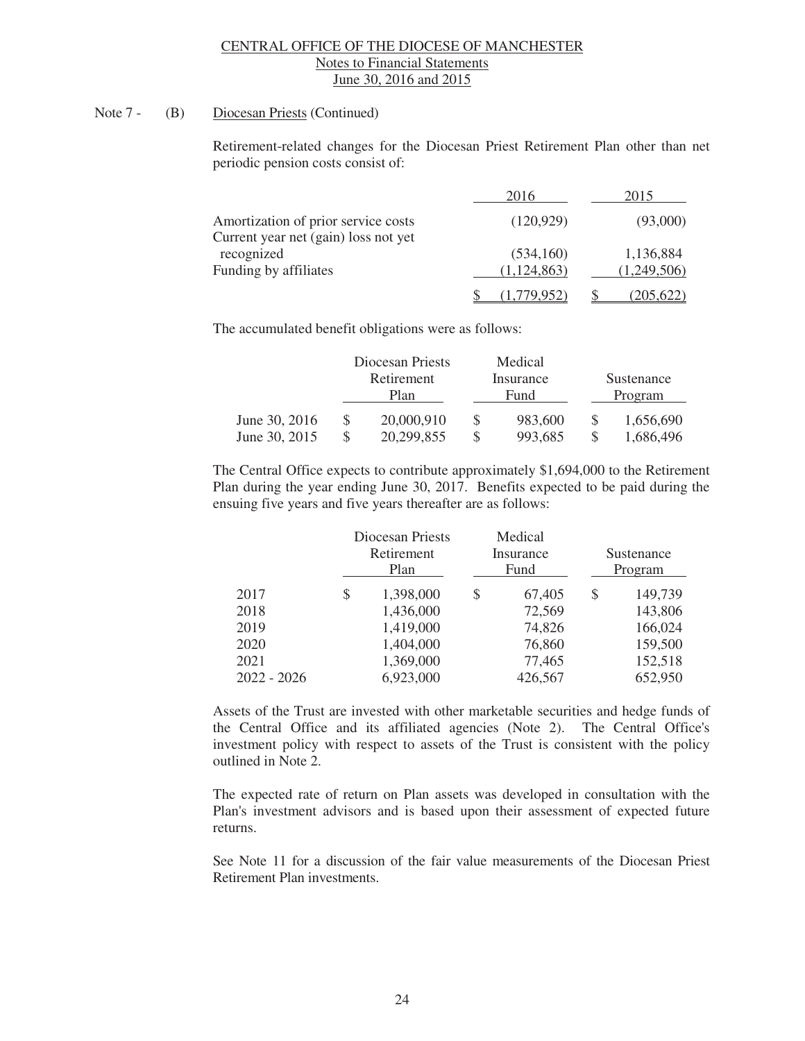# Note 7 - (B) Diocesan Priests (Continued)

Retirement-related changes for the Diocesan Priest Retirement Plan other than net periodic pension costs consist of:

|                                                    | 2016        | 2015        |
|----------------------------------------------------|-------------|-------------|
| Amortization of prior service costs                | (120, 929)  | (93,000)    |
| Current year net (gain) loss not yet<br>recognized | (534,160)   | 1,136,884   |
| Funding by affiliates                              | (1,124,863) | (1,249,506) |
|                                                    | 79.952      | (205, 622)  |

The accumulated benefit obligations were as follows:

|                                |  |                          | Diocesan Priests<br>Medical<br>Retirement<br>Insurance<br>Plan<br>Fund |                    | Sustenance<br>Program |                        |
|--------------------------------|--|--------------------------|------------------------------------------------------------------------|--------------------|-----------------------|------------------------|
| June 30, 2016<br>June 30, 2015 |  | 20,000,910<br>20,299,855 |                                                                        | 983,600<br>993.685 |                       | 1.656.690<br>1,686,496 |

The Central Office expects to contribute approximately \$1,694,000 to the Retirement Plan during the year ending June 30, 2017. Benefits expected to be paid during the ensuing five years and five years thereafter are as follows:

|               | Diocesan Priests<br>Retirement<br>Plan | Medical<br>Insurance<br>Fund |   | Sustenance<br>Program |
|---------------|----------------------------------------|------------------------------|---|-----------------------|
| 2017          | \$<br>1,398,000                        | \$<br>67,405                 | S | 149,739               |
| 2018          | 1,436,000                              | 72,569                       |   | 143,806               |
| 2019          | 1,419,000                              | 74,826                       |   | 166,024               |
| 2020          | 1,404,000                              | 76,860                       |   | 159,500               |
| 2021          | 1,369,000                              | 77,465                       |   | 152,518               |
| $2022 - 2026$ | 6,923,000                              | 426,567                      |   | 652,950               |

 Assets of the Trust are invested with other marketable securities and hedge funds of the Central Office and its affiliated agencies (Note 2). The Central Office's investment policy with respect to assets of the Trust is consistent with the policy outlined in Note 2.

The expected rate of return on Plan assets was developed in consultation with the Plan's investment advisors and is based upon their assessment of expected future returns.

 See Note 11 for a discussion of the fair value measurements of the Diocesan Priest Retirement Plan investments.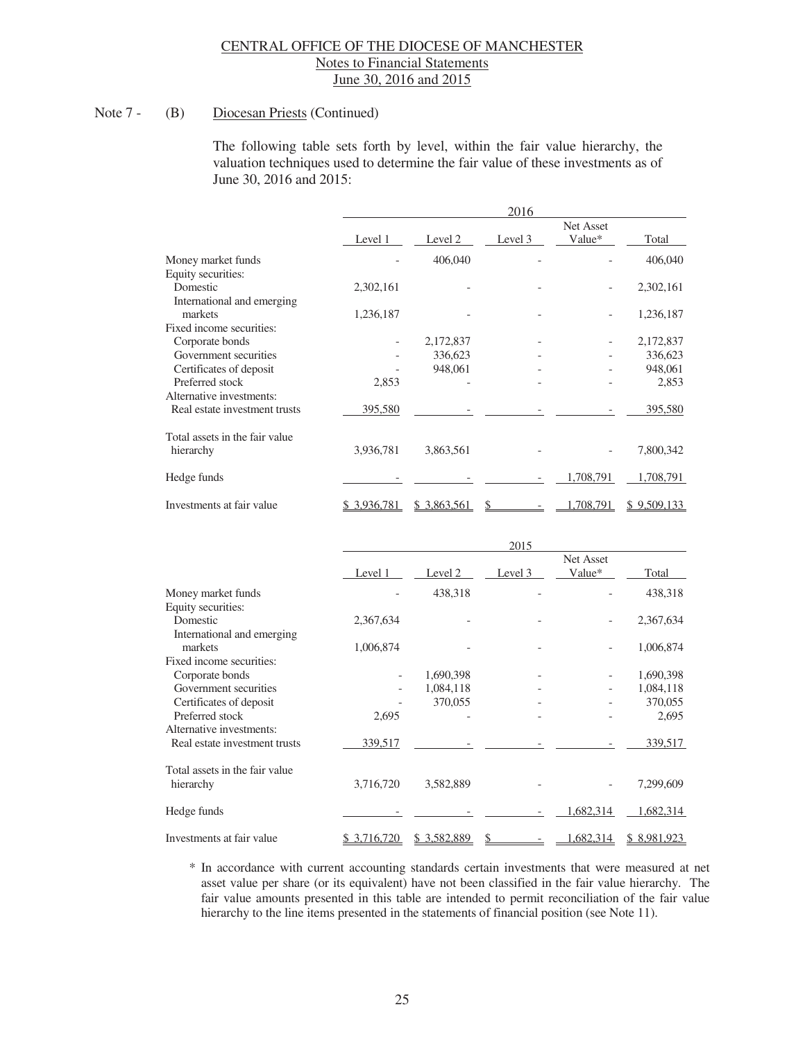## Note 7 - (B) Diocesan Priests (Continued)

 The following table sets forth by level, within the fair value hierarchy, the valuation techniques used to determine the fair value of these investments as of June 30, 2016 and 2015:

|                                |             |              | 2016    |                     |             |
|--------------------------------|-------------|--------------|---------|---------------------|-------------|
|                                | Level 1     | Level 2      | Level 3 | Net Asset<br>Value* | Total       |
| Money market funds             |             | 406,040      |         |                     | 406,040     |
| Equity securities:             |             |              |         |                     |             |
| Domestic                       | 2,302,161   |              |         |                     | 2,302,161   |
| International and emerging     |             |              |         |                     |             |
| markets                        | 1,236,187   |              |         |                     | 1,236,187   |
| Fixed income securities:       |             |              |         |                     |             |
| Corporate bonds                |             | 2,172,837    |         |                     | 2,172,837   |
| Government securities          |             | 336,623      |         |                     | 336,623     |
| Certificates of deposit        |             | 948,061      |         |                     | 948,061     |
| Preferred stock                | 2,853       |              |         |                     | 2,853       |
| Alternative investments:       |             |              |         |                     |             |
| Real estate investment trusts  | 395,580     |              |         |                     | 395,580     |
| Total assets in the fair value |             |              |         |                     |             |
| hierarchy                      | 3,936,781   | 3,863,561    |         |                     | 7,800,342   |
| Hedge funds                    |             |              |         | 1.708.791           | 1,708,791   |
| Investments at fair value      | \$3,936,781 | \$ 3,863,561 | \$      | ,708,791            | \$9,509,133 |

|                                | 2015         |             |         |                     |             |
|--------------------------------|--------------|-------------|---------|---------------------|-------------|
|                                | Level 1      | Level 2     | Level 3 | Net Asset<br>Value* | Total       |
| Money market funds             |              | 438,318     |         |                     | 438,318     |
| Equity securities:             |              |             |         |                     |             |
| Domestic                       | 2,367,634    |             |         |                     | 2,367,634   |
| International and emerging     |              |             |         |                     |             |
| markets                        | 1,006,874    |             |         |                     | 1,006,874   |
| Fixed income securities:       |              |             |         |                     |             |
| Corporate bonds                |              | 1,690,398   |         |                     | 1,690,398   |
| Government securities          |              | 1,084,118   |         |                     | 1,084,118   |
| Certificates of deposit        |              | 370,055     |         |                     | 370,055     |
| Preferred stock                | 2,695        |             |         |                     | 2,695       |
| Alternative investments:       |              |             |         |                     |             |
| Real estate investment trusts  | 339,517      |             |         |                     | 339,517     |
| Total assets in the fair value |              |             |         |                     |             |
| hierarchy                      | 3,716,720    | 3,582,889   |         |                     | 7,299,609   |
| Hedge funds                    |              |             |         | 1,682,314           | 1,682,314   |
| Investments at fair value      | \$ 3,716,720 | \$3,582,889 | \$      | 1,682,314           | \$8,981,923 |

\* In accordance with current accounting standards certain investments that were measured at net asset value per share (or its equivalent) have not been classified in the fair value hierarchy. The fair value amounts presented in this table are intended to permit reconciliation of the fair value hierarchy to the line items presented in the statements of financial position (see Note 11).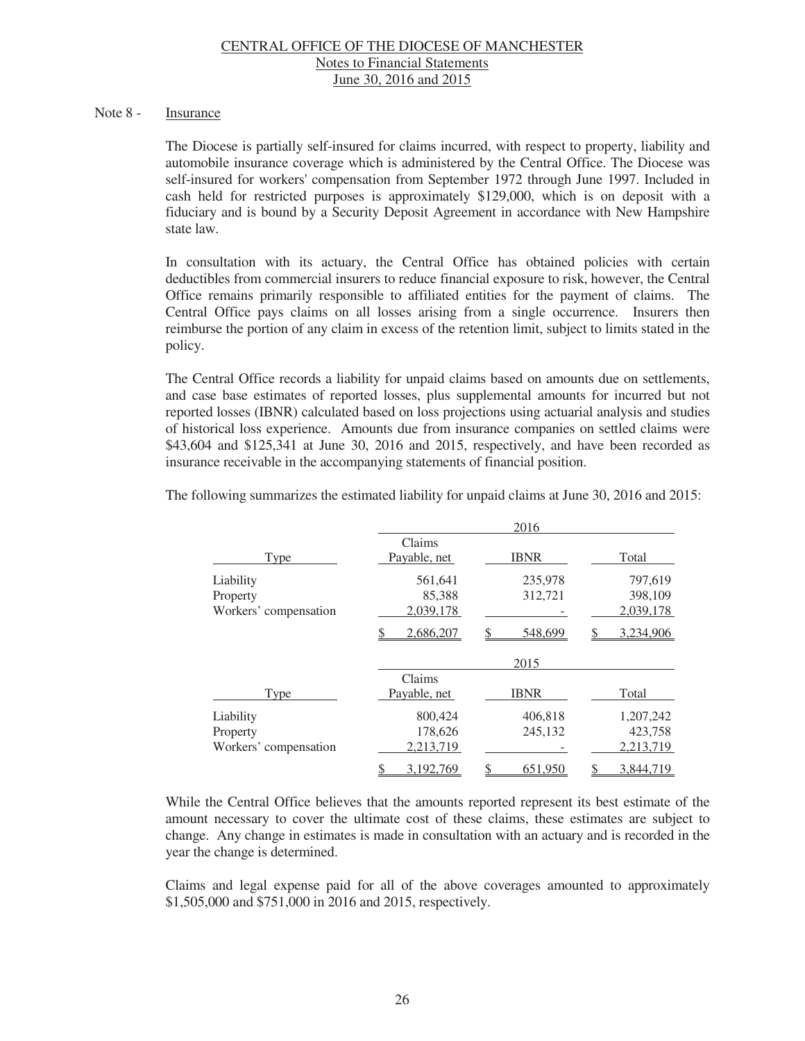# Note 8 - **Insurance**

 The Diocese is partially self-insured for claims incurred, with respect to property, liability and automobile insurance coverage which is administered by the Central Office. The Diocese was self-insured for workers' compensation from September 1972 through June 1997. Included in cash held for restricted purposes is approximately \$129,000, which is on deposit with a fiduciary and is bound by a Security Deposit Agreement in accordance with New Hampshire state law.

 In consultation with its actuary, the Central Office has obtained policies with certain deductibles from commercial insurers to reduce financial exposure to risk, however, the Central Office remains primarily responsible to affiliated entities for the payment of claims. The Central Office pays claims on all losses arising from a single occurrence. Insurers then reimburse the portion of any claim in excess of the retention limit, subject to limits stated in the policy.

 The Central Office records a liability for unpaid claims based on amounts due on settlements, and case base estimates of reported losses, plus supplemental amounts for incurred but not reported losses (IBNR) calculated based on loss projections using actuarial analysis and studies of historical loss experience. Amounts due from insurance companies on settled claims were \$43,604 and \$125,341 at June 30, 2016 and 2015, respectively, and have been recorded as insurance receivable in the accompanying statements of financial position.

|                                                |                                                   | 2016               |                                              |
|------------------------------------------------|---------------------------------------------------|--------------------|----------------------------------------------|
| Type                                           | Claims<br>Payable, net                            | <b>IBNR</b>        | Total                                        |
| Liability<br>Property<br>Workers' compensation | 561,641<br>85,388<br>2,039,178<br>2,686,207<br>\$ | 235,978<br>312,721 | 797,619<br>398,109<br>2,039,178<br>3,234,906 |
|                                                | Claims                                            | 548,699<br>2015    |                                              |
| Type                                           | Payable, net                                      | <b>IBNR</b>        | Total                                        |
| Liability<br>Property<br>Workers' compensation | 800,424<br>178,626<br>2,213,719                   | 406,818<br>245,132 | 1,207,242<br>423,758<br>2,213,719            |
|                                                | 3,192,769                                         | 651,950            | 3,844,719                                    |

The following summarizes the estimated liability for unpaid claims at June 30, 2016 and 2015:

 While the Central Office believes that the amounts reported represent its best estimate of the amount necessary to cover the ultimate cost of these claims, these estimates are subject to change. Any change in estimates is made in consultation with an actuary and is recorded in the year the change is determined.

 Claims and legal expense paid for all of the above coverages amounted to approximately \$1,505,000 and \$751,000 in 2016 and 2015, respectively.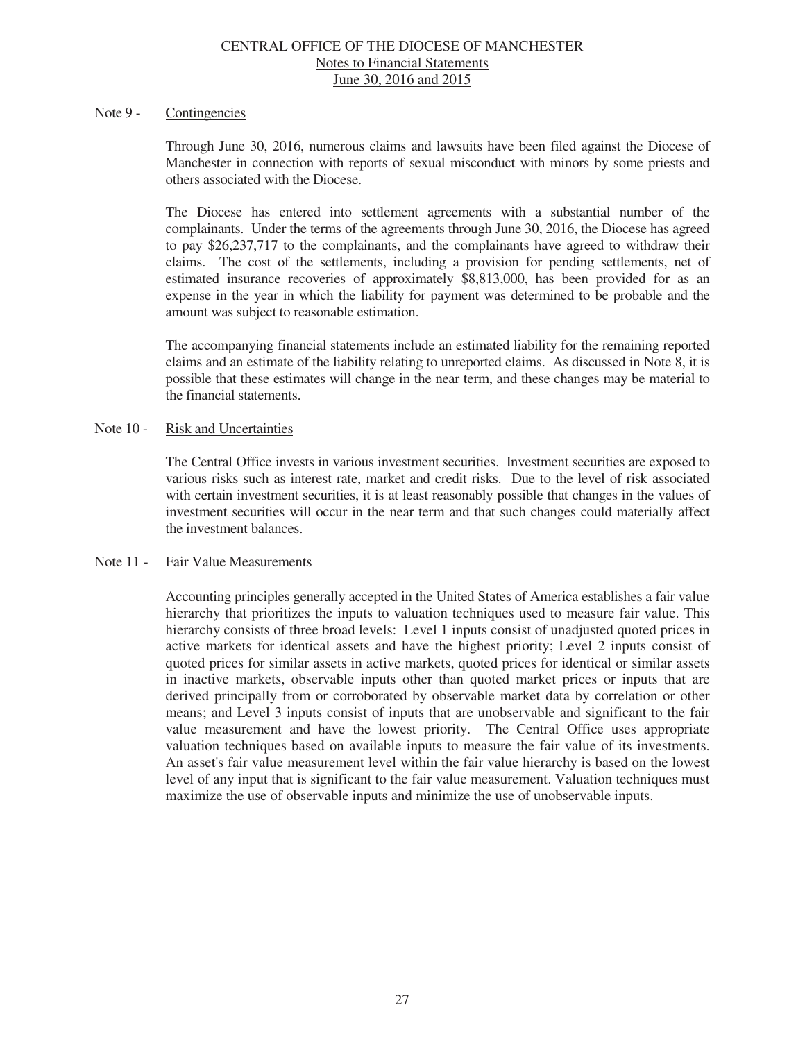## Note 9 - Contingencies

Through June 30, 2016, numerous claims and lawsuits have been filed against the Diocese of Manchester in connection with reports of sexual misconduct with minors by some priests and others associated with the Diocese.

The Diocese has entered into settlement agreements with a substantial number of the complainants. Under the terms of the agreements through June 30, 2016, the Diocese has agreed to pay \$26,237,717 to the complainants, and the complainants have agreed to withdraw their claims. The cost of the settlements, including a provision for pending settlements, net of estimated insurance recoveries of approximately \$8,813,000, has been provided for as an expense in the year in which the liability for payment was determined to be probable and the amount was subject to reasonable estimation.

The accompanying financial statements include an estimated liability for the remaining reported claims and an estimate of the liability relating to unreported claims. As discussed in Note 8, it is possible that these estimates will change in the near term, and these changes may be material to the financial statements.

# Note 10 - Risk and Uncertainties

 The Central Office invests in various investment securities. Investment securities are exposed to various risks such as interest rate, market and credit risks. Due to the level of risk associated with certain investment securities, it is at least reasonably possible that changes in the values of investment securities will occur in the near term and that such changes could materially affect the investment balances.

#### Note 11 - Fair Value Measurements

Accounting principles generally accepted in the United States of America establishes a fair value hierarchy that prioritizes the inputs to valuation techniques used to measure fair value. This hierarchy consists of three broad levels: Level 1 inputs consist of unadjusted quoted prices in active markets for identical assets and have the highest priority; Level 2 inputs consist of quoted prices for similar assets in active markets, quoted prices for identical or similar assets in inactive markets, observable inputs other than quoted market prices or inputs that are derived principally from or corroborated by observable market data by correlation or other means; and Level 3 inputs consist of inputs that are unobservable and significant to the fair value measurement and have the lowest priority. The Central Office uses appropriate valuation techniques based on available inputs to measure the fair value of its investments. An asset's fair value measurement level within the fair value hierarchy is based on the lowest level of any input that is significant to the fair value measurement. Valuation techniques must maximize the use of observable inputs and minimize the use of unobservable inputs.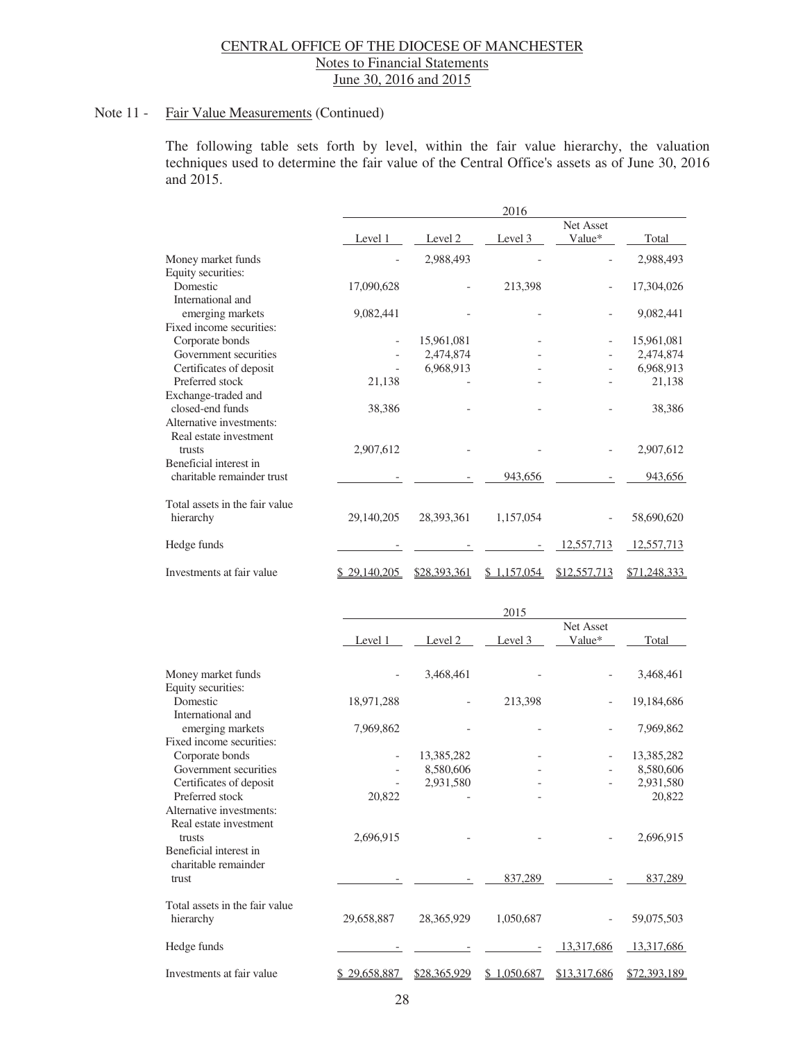#### Note 11 - Fair Value Measurements (Continued)

The following table sets forth by level, within the fair value hierarchy, the valuation techniques used to determine the fair value of the Central Office's assets as of June 30, 2016 and 2015.

|                                |            |              | 2016      |                     |              |
|--------------------------------|------------|--------------|-----------|---------------------|--------------|
|                                | Level 1    | Level 2      | Level 3   | Net Asset<br>Value* | Total        |
| Money market funds             |            | 2,988,493    |           |                     | 2,988,493    |
| Equity securities:             |            |              |           |                     |              |
| Domestic                       | 17,090,628 |              | 213,398   |                     | 17,304,026   |
| International and              |            |              |           |                     |              |
| emerging markets               | 9,082,441  |              |           |                     | 9,082,441    |
| Fixed income securities:       |            |              |           |                     |              |
| Corporate bonds                |            | 15,961,081   |           |                     | 15,961,081   |
| Government securities          |            | 2,474,874    |           |                     | 2,474,874    |
| Certificates of deposit        |            | 6,968,913    |           |                     | 6,968,913    |
| Preferred stock                | 21,138     |              |           |                     | 21,138       |
| Exchange-traded and            |            |              |           |                     |              |
| closed-end funds               | 38,386     |              |           |                     | 38,386       |
| Alternative investments:       |            |              |           |                     |              |
| Real estate investment         |            |              |           |                     |              |
| trusts                         | 2,907,612  |              |           |                     | 2,907,612    |
| Beneficial interest in         |            |              |           |                     |              |
| charitable remainder trust     |            |              | 943,656   |                     | 943,656      |
|                                |            |              |           |                     |              |
| Total assets in the fair value |            |              |           |                     |              |
| hierarchy                      | 29,140,205 | 28,393,361   | 1,157,054 |                     | 58,690,620   |
|                                |            |              |           |                     |              |
| Hedge funds                    |            |              |           | 12,557,713          | 12,557,713   |
|                                |            |              |           |                     |              |
| Investments at fair value      | 29,140,205 | \$28,393,361 | 1,157,054 | \$12,557,713        | \$71,248,333 |
|                                |            |              |           |                     |              |

|                                                                       | 2015       |              |           |              |              |
|-----------------------------------------------------------------------|------------|--------------|-----------|--------------|--------------|
|                                                                       |            |              |           | Net Asset    |              |
|                                                                       | Level 1    | Level 2      | Level 3   | Value*       | Total        |
| Money market funds                                                    |            | 3,468,461    |           |              | 3,468,461    |
| Equity securities:                                                    |            |              |           |              |              |
| Domestic<br>International and                                         | 18,971,288 |              | 213,398   |              | 19,184,686   |
| emerging markets                                                      | 7,969,862  |              |           |              | 7,969,862    |
| Fixed income securities:<br>Corporate bonds                           |            | 13,385,282   |           |              | 13,385,282   |
| Government securities                                                 |            |              |           |              |              |
|                                                                       |            | 8,580,606    |           |              | 8,580,606    |
| Certificates of deposit                                               |            | 2,931,580    |           |              | 2,931,580    |
| Preferred stock<br>Alternative investments:<br>Real estate investment | 20,822     |              |           |              | 20,822       |
| trusts                                                                | 2,696,915  |              |           |              | 2,696,915    |
| Beneficial interest in<br>charitable remainder                        |            |              |           |              |              |
| trust                                                                 |            |              | 837,289   |              | 837,289      |
| Total assets in the fair value                                        |            |              |           |              |              |
| hierarchy                                                             | 29,658,887 | 28,365,929   | 1,050,687 |              | 59,075,503   |
| Hedge funds                                                           |            |              |           | 13,317,686   | 13,317,686   |
| Investments at fair value                                             | 29,658,887 | \$28,365,929 | 1,050,687 | \$13,317,686 | \$72,393,189 |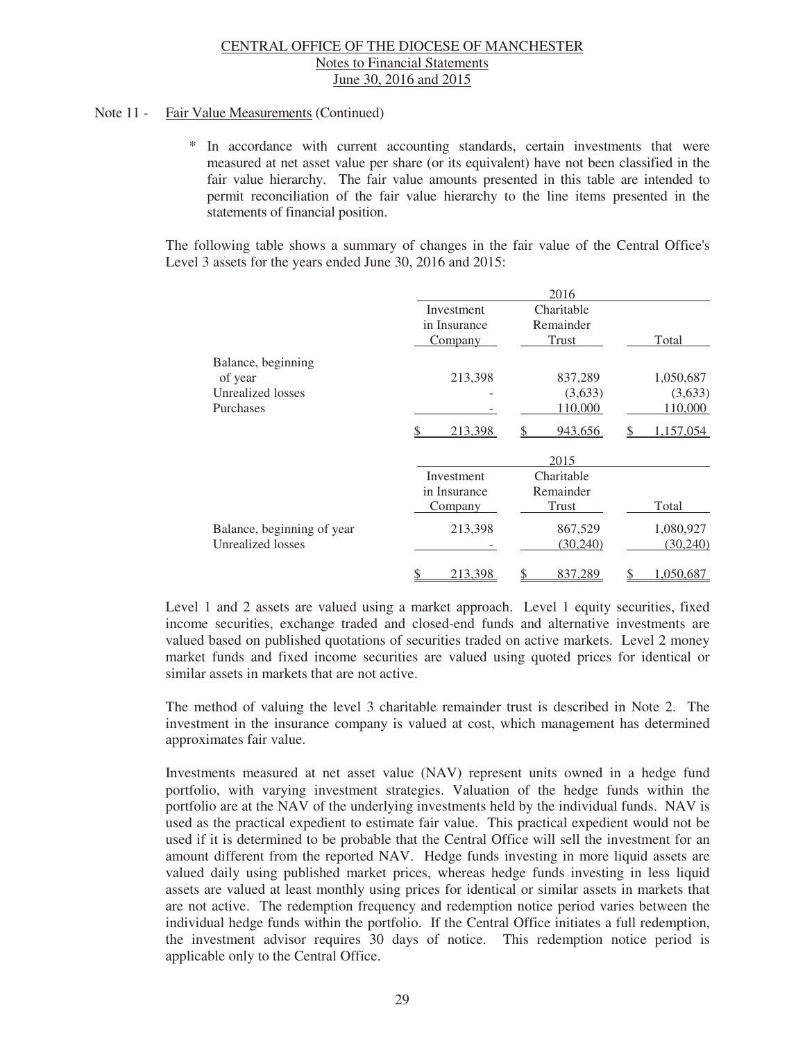# Note 11 - Fair Value Measurements (Continued)

\* In accordance with current accounting standards, certain investments that were measured at net asset value per share (or its equivalent) have not been classified in the fair value hierarchy. The fair value amounts presented in this table are intended to permit reconciliation of the fair value hierarchy to the line items presented in the statements of financial position.

The following table shows a summary of changes in the fair value of the Central Office's Level 3 assets for the years ended June 30, 2016 and 2015:

|                            |              | 2016       |                |
|----------------------------|--------------|------------|----------------|
|                            | Investment   | Charitable |                |
|                            | in Insurance | Remainder  |                |
|                            | Company      | Trust      | Total          |
| Balance, beginning         |              |            |                |
| of year                    | 213,398      | 837,289    | 1,050,687      |
| Unrealized losses          |              | (3,633)    | (3,633)        |
| Purchases                  |              | 110,000    | 110,000        |
|                            | 213,398      | 943,656    | 1,157,054<br>S |
|                            |              | 2015       |                |
|                            | Investment   | Charitable |                |
|                            | in Insurance | Remainder  |                |
|                            | Company      | Trust      | Total          |
| Balance, beginning of year | 213,398      | 867,529    | 1,080,927      |
| Unrealized losses          |              | (30,240)   | (30,240)       |
|                            | 213,398      | 837,289    | 1,050,687      |

Level 1 and 2 assets are valued using a market approach. Level 1 equity securities, fixed income securities, exchange traded and closed-end funds and alternative investments are valued based on published quotations of securities traded on active markets. Level 2 money market funds and fixed income securities are valued using quoted prices for identical or similar assets in markets that are not active.

The method of valuing the level 3 charitable remainder trust is described in Note 2. The investment in the insurance company is valued at cost, which management has determined approximates fair value.

Investments measured at net asset value (NAV) represent units owned in a hedge fund portfolio, with varying investment strategies. Valuation of the hedge funds within the portfolio are at the NAV of the underlying investments held by the individual funds. NAV is used as the practical expedient to estimate fair value. This practical expedient would not be used if it is determined to be probable that the Central Office will sell the investment for an amount different from the reported NAV. Hedge funds investing in more liquid assets are valued daily using published market prices, whereas hedge funds investing in less liquid assets are valued at least monthly using prices for identical or similar assets in markets that are not active. The redemption frequency and redemption notice period varies between the individual hedge funds within the portfolio. If the Central Office initiates a full redemption, the investment advisor requires 30 days of notice. This redemption notice period is applicable only to the Central Office.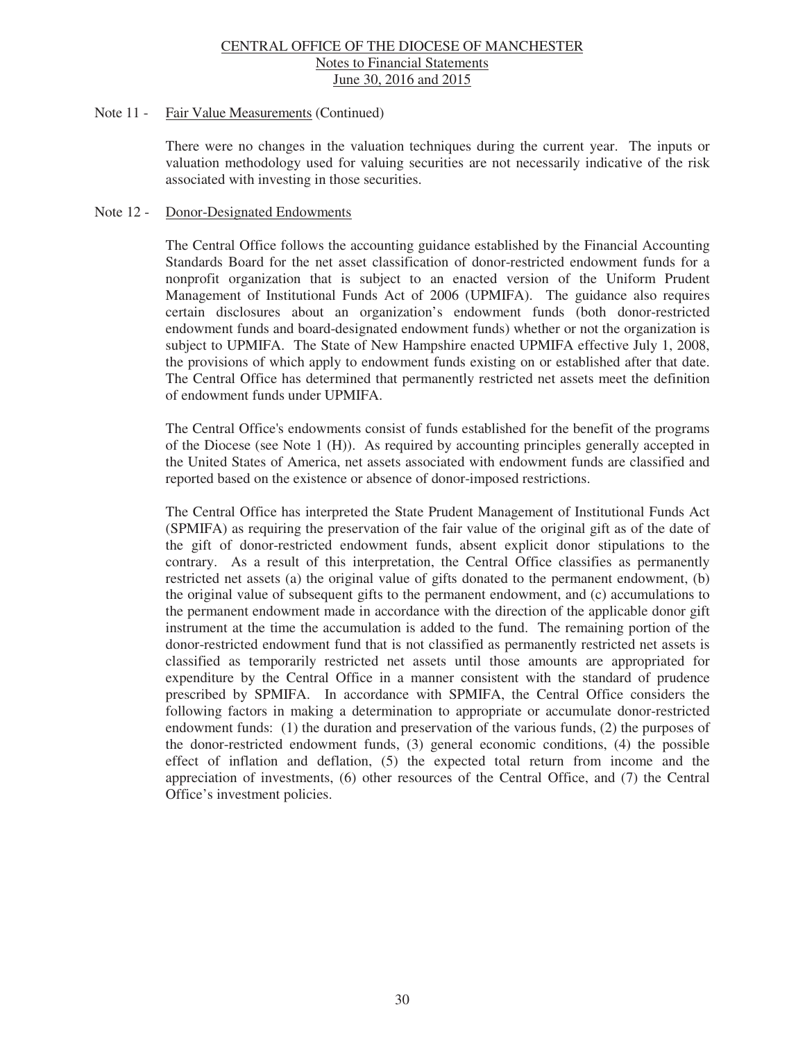#### Note 11 - Fair Value Measurements (Continued)

There were no changes in the valuation techniques during the current year. The inputs or valuation methodology used for valuing securities are not necessarily indicative of the risk associated with investing in those securities.

#### Note 12 - Donor-Designated Endowments

The Central Office follows the accounting guidance established by the Financial Accounting Standards Board for the net asset classification of donor-restricted endowment funds for a nonprofit organization that is subject to an enacted version of the Uniform Prudent Management of Institutional Funds Act of 2006 (UPMIFA). The guidance also requires certain disclosures about an organization's endowment funds (both donor-restricted endowment funds and board-designated endowment funds) whether or not the organization is subject to UPMIFA. The State of New Hampshire enacted UPMIFA effective July 1, 2008, the provisions of which apply to endowment funds existing on or established after that date. The Central Office has determined that permanently restricted net assets meet the definition of endowment funds under UPMIFA.

The Central Office's endowments consist of funds established for the benefit of the programs of the Diocese (see Note 1 (H)). As required by accounting principles generally accepted in the United States of America, net assets associated with endowment funds are classified and reported based on the existence or absence of donor-imposed restrictions.

The Central Office has interpreted the State Prudent Management of Institutional Funds Act (SPMIFA) as requiring the preservation of the fair value of the original gift as of the date of the gift of donor-restricted endowment funds, absent explicit donor stipulations to the contrary. As a result of this interpretation, the Central Office classifies as permanently restricted net assets (a) the original value of gifts donated to the permanent endowment, (b) the original value of subsequent gifts to the permanent endowment, and (c) accumulations to the permanent endowment made in accordance with the direction of the applicable donor gift instrument at the time the accumulation is added to the fund. The remaining portion of the donor-restricted endowment fund that is not classified as permanently restricted net assets is classified as temporarily restricted net assets until those amounts are appropriated for expenditure by the Central Office in a manner consistent with the standard of prudence prescribed by SPMIFA. In accordance with SPMIFA, the Central Office considers the following factors in making a determination to appropriate or accumulate donor-restricted endowment funds: (1) the duration and preservation of the various funds, (2) the purposes of the donor-restricted endowment funds, (3) general economic conditions, (4) the possible effect of inflation and deflation, (5) the expected total return from income and the appreciation of investments, (6) other resources of the Central Office, and (7) the Central Office's investment policies.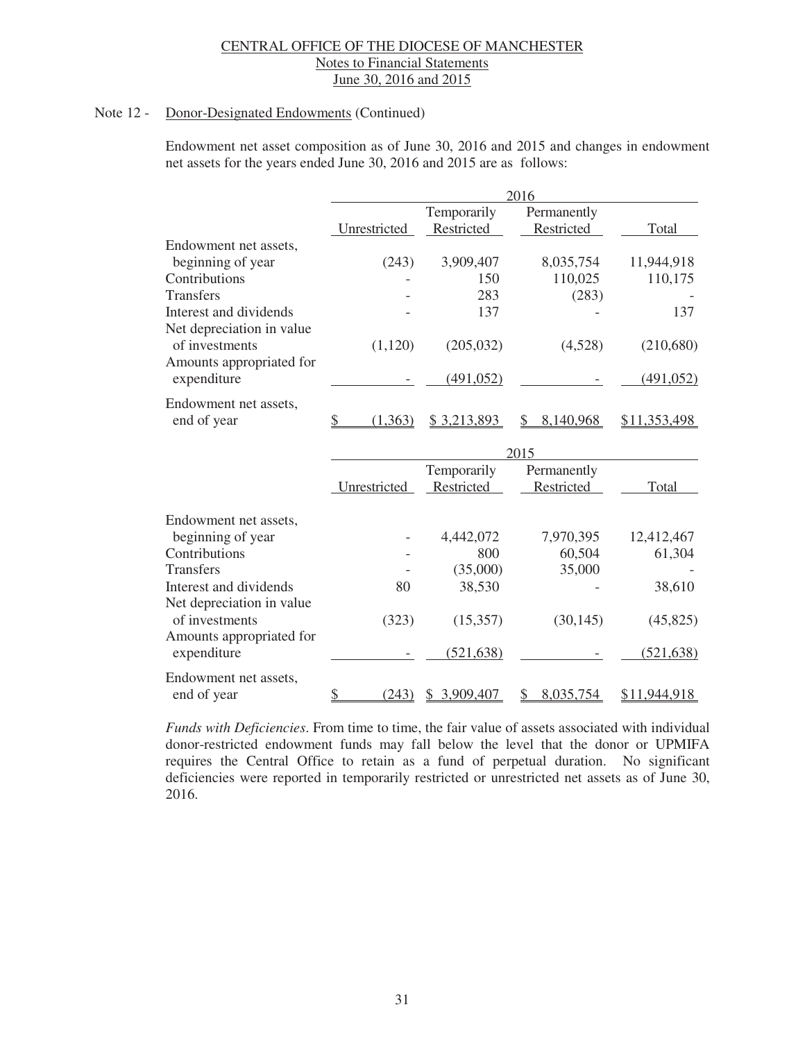# Note 12 - Donor-Designated Endowments (Continued)

Net depreciation in value

Amounts appropriated for

Endowment net assets,

Endowment net asset composition as of June 30, 2016 and 2015 and changes in endowment net assets for the years ended June 30, 2016 and 2015 are as follows:

|                                             |              | 2016        |                 |              |  |
|---------------------------------------------|--------------|-------------|-----------------|--------------|--|
|                                             |              | Temporarily | Permanently     |              |  |
|                                             | Unrestricted | Restricted  | Restricted      | Total        |  |
| Endowment net assets,                       |              |             |                 |              |  |
| beginning of year                           | (243)        | 3,909,407   | 8,035,754       | 11,944,918   |  |
| Contributions                               |              | 150         | 110,025         | 110,175      |  |
| <b>Transfers</b>                            |              | 283         | (283)           |              |  |
| Interest and dividends                      |              | 137         |                 | 137          |  |
| Net depreciation in value<br>of investments | (1,120)      | (205, 032)  | (4,528)         | (210,680)    |  |
| Amounts appropriated for<br>expenditure     |              | (491, 052)  |                 | (491, 052)   |  |
| Endowment net assets,<br>end of year        | (1,363)      | \$3,213,893 | 8,140,968<br>\$ | \$11,353,498 |  |
|                                             |              |             | 2015            |              |  |
|                                             |              | Temporarily | Permanently     |              |  |
|                                             | Unrestricted | Restricted  | Restricted      | Total        |  |
| Endowment net assets,                       |              |             |                 |              |  |
| beginning of year                           |              | 4,442,072   | 7,970,395       | 12,412,467   |  |
| Contributions                               |              | 800         | 60,504          | 61,304       |  |

Transfers - (35,000) 35,000 -

Interest and dividends 80 38,530 - 38,610

of investments (323) (15,357) (30,145) (45,825)

expenditure - (521,638) - (521,638) - (521,638)

end of year  $\frac{1}{243} \frac{1}{243} \frac{3,909,407}{15,8035,754} \frac{11,944,918}{15,8035,754}$ 

*Funds with Deficiencies*. From time to time, the fair value of assets associated with individual donor-restricted endowment funds may fall below the level that the donor or UPMIFA requires the Central Office to retain as a fund of perpetual duration. No significant deficiencies were reported in temporarily restricted or unrestricted net assets as of June 30, 2016.